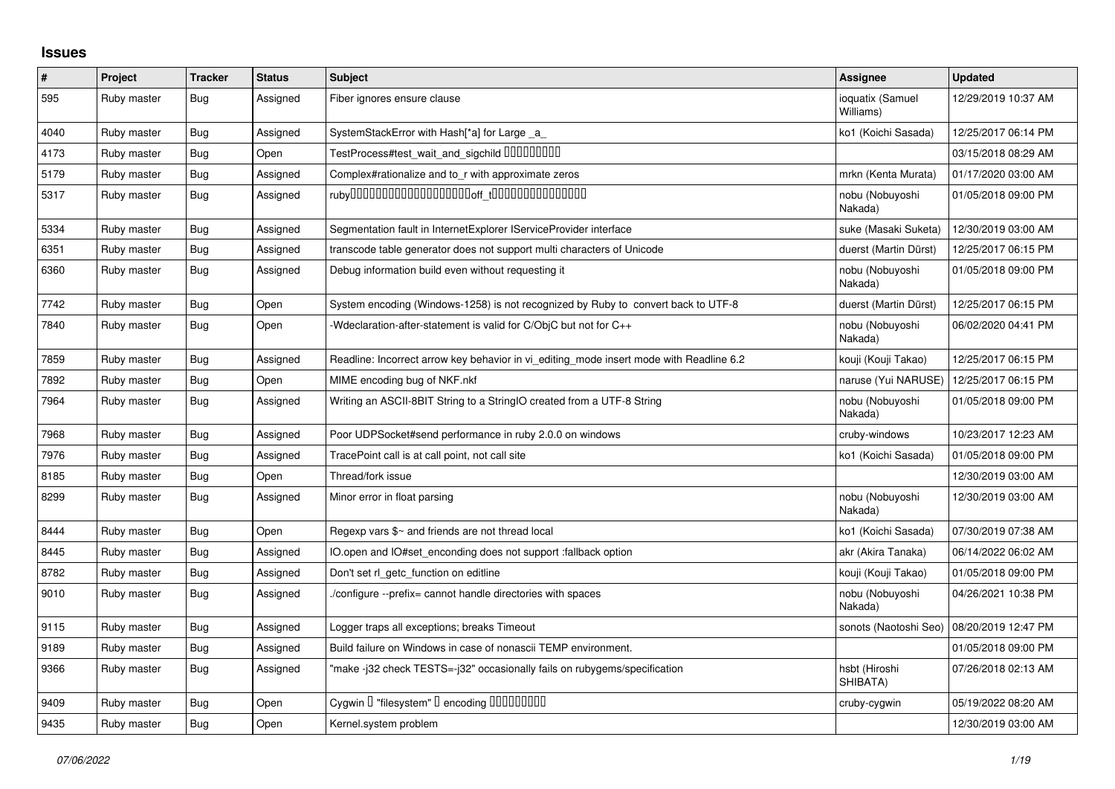## **Issues**

| $\vert$ # | Project     | <b>Tracker</b> | <b>Status</b> | <b>Subject</b>                                                                          | <b>Assignee</b>               | <b>Updated</b>      |
|-----------|-------------|----------------|---------------|-----------------------------------------------------------------------------------------|-------------------------------|---------------------|
| 595       | Ruby master | <b>Bug</b>     | Assigned      | Fiber ignores ensure clause                                                             | ioquatix (Samuel<br>Williams) | 12/29/2019 10:37 AM |
| 4040      | Ruby master | <b>Bug</b>     | Assigned      | SystemStackError with Hash[*a] for Large _a                                             | ko1 (Koichi Sasada)           | 12/25/2017 06:14 PM |
| 4173      | Ruby master | <b>Bug</b>     | Open          | TestProcess#test_wait_and_sigchild DDDDDDDD                                             |                               | 03/15/2018 08:29 AM |
| 5179      | Ruby master | <b>Bug</b>     | Assigned      | Complex#rationalize and to_r with approximate zeros                                     | mrkn (Kenta Murata)           | 01/17/2020 03:00 AM |
| 5317      | Ruby master | <b>Bug</b>     | Assigned      |                                                                                         | nobu (Nobuyoshi<br>Nakada)    | 01/05/2018 09:00 PM |
| 5334      | Ruby master | <b>Bug</b>     | Assigned      | Segmentation fault in InternetExplorer IServiceProvider interface                       | suke (Masaki Suketa)          | 12/30/2019 03:00 AM |
| 6351      | Ruby master | <b>Bug</b>     | Assigned      | transcode table generator does not support multi characters of Unicode                  | duerst (Martin Dürst)         | 12/25/2017 06:15 PM |
| 6360      | Ruby master | <b>Bug</b>     | Assigned      | Debug information build even without requesting it                                      | nobu (Nobuyoshi<br>Nakada)    | 01/05/2018 09:00 PM |
| 7742      | Ruby master | <b>Bug</b>     | Open          | System encoding (Windows-1258) is not recognized by Ruby to convert back to UTF-8       | duerst (Martin Dürst)         | 12/25/2017 06:15 PM |
| 7840      | Ruby master | <b>Bug</b>     | Open          | Wedclaration-after-statement is valid for C/ObjC but not for C++                        | nobu (Nobuyoshi<br>Nakada)    | 06/02/2020 04:41 PM |
| 7859      | Ruby master | <b>Bug</b>     | Assigned      | Readline: Incorrect arrow key behavior in vi editing mode insert mode with Readline 6.2 | kouji (Kouji Takao)           | 12/25/2017 06:15 PM |
| 7892      | Ruby master | <b>Bug</b>     | Open          | MIME encoding bug of NKF.nkf                                                            | naruse (Yui NARUSE)           | 12/25/2017 06:15 PM |
| 7964      | Ruby master | <b>Bug</b>     | Assigned      | Writing an ASCII-8BIT String to a StringIO created from a UTF-8 String                  | nobu (Nobuyoshi<br>Nakada)    | 01/05/2018 09:00 PM |
| 7968      | Ruby master | <b>Bug</b>     | Assigned      | Poor UDPSocket#send performance in ruby 2.0.0 on windows                                | cruby-windows                 | 10/23/2017 12:23 AM |
| 7976      | Ruby master | Bug            | Assigned      | TracePoint call is at call point, not call site                                         | ko1 (Koichi Sasada)           | 01/05/2018 09:00 PM |
| 8185      | Ruby master | Bug            | Open          | Thread/fork issue                                                                       |                               | 12/30/2019 03:00 AM |
| 8299      | Ruby master | <b>Bug</b>     | Assigned      | Minor error in float parsing                                                            | nobu (Nobuyoshi<br>Nakada)    | 12/30/2019 03:00 AM |
| 8444      | Ruby master | <b>Bug</b>     | Open          | Regexp vars $\frac{6}{3}$ and friends are not thread local                              | ko1 (Koichi Sasada)           | 07/30/2019 07:38 AM |
| 8445      | Ruby master | <b>Bug</b>     | Assigned      | IO.open and IO#set enconding does not support :fallback option                          | akr (Akira Tanaka)            | 06/14/2022 06:02 AM |
| 8782      | Ruby master | <b>Bug</b>     | Assigned      | Don't set rl_getc_function on editline                                                  | kouji (Kouji Takao)           | 01/05/2018 09:00 PM |
| 9010      | Ruby master | <b>Bug</b>     | Assigned      | /configure --prefix= cannot handle directories with spaces                              | nobu (Nobuyoshi<br>Nakada)    | 04/26/2021 10:38 PM |
| 9115      | Ruby master | <b>Bug</b>     | Assigned      | Logger traps all exceptions; breaks Timeout                                             | sonots (Naotoshi Seo)         | 08/20/2019 12:47 PM |
| 9189      | Ruby master | <b>Bug</b>     | Assigned      | Build failure on Windows in case of nonascii TEMP environment.                          |                               | 01/05/2018 09:00 PM |
| 9366      | Ruby master | <b>Bug</b>     | Assigned      | 'make -j32 check TESTS=-j32" occasionally fails on rubygems/specification               | hsbt (Hiroshi<br>SHIBATA)     | 07/26/2018 02:13 AM |
| 9409      | Ruby master | <b>Bug</b>     | Open          | Cygwin I "filesystem" I encoding IIIIIIIIIIIII                                          | cruby-cygwin                  | 05/19/2022 08:20 AM |
| 9435      | Ruby master | <b>Bug</b>     | Open          | Kernel.system problem                                                                   |                               | 12/30/2019 03:00 AM |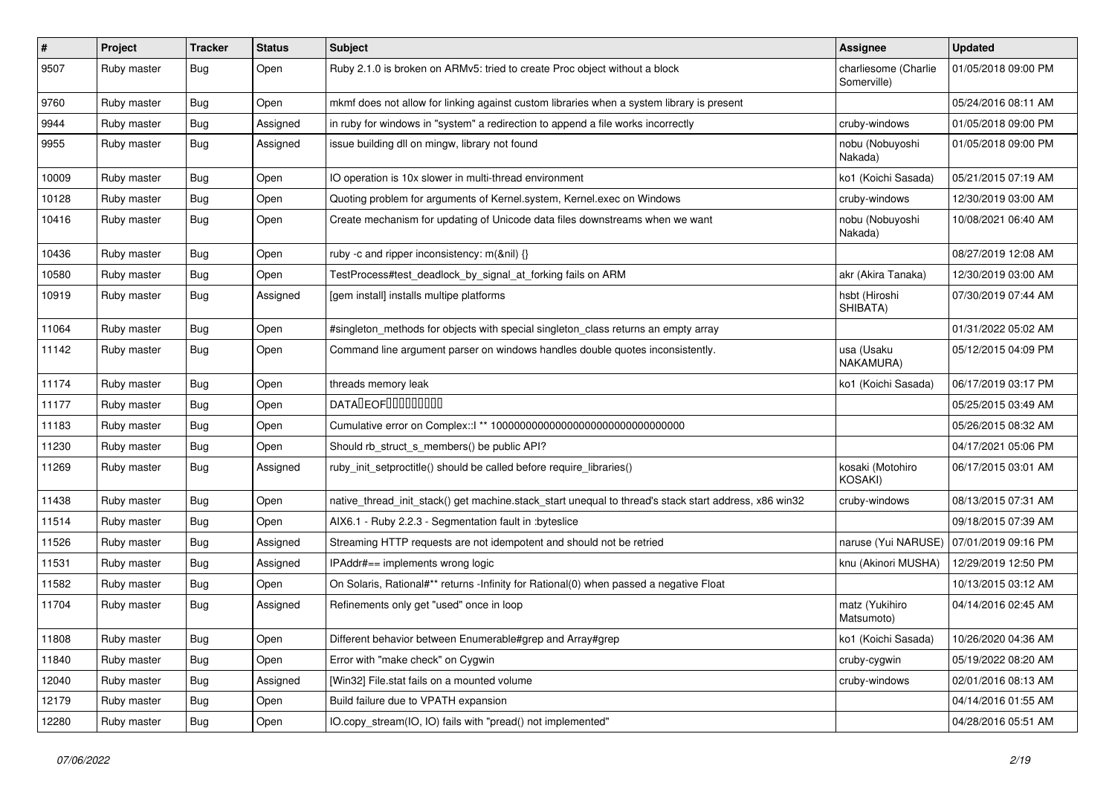| $\vert$ # | Project     | <b>Tracker</b> | <b>Status</b> | Subject                                                                                               | <b>Assignee</b>                     | <b>Updated</b>      |
|-----------|-------------|----------------|---------------|-------------------------------------------------------------------------------------------------------|-------------------------------------|---------------------|
| 9507      | Ruby master | Bug            | Open          | Ruby 2.1.0 is broken on ARMv5: tried to create Proc object without a block                            | charliesome (Charlie<br>Somerville) | 01/05/2018 09:00 PM |
| 9760      | Ruby master | Bug            | Open          | mkmf does not allow for linking against custom libraries when a system library is present             |                                     | 05/24/2016 08:11 AM |
| 9944      | Ruby master | <b>Bug</b>     | Assigned      | in ruby for windows in "system" a redirection to append a file works incorrectly                      | cruby-windows                       | 01/05/2018 09:00 PM |
| 9955      | Ruby master | Bug            | Assigned      | issue building dll on mingw, library not found                                                        | nobu (Nobuyoshi<br>Nakada)          | 01/05/2018 09:00 PM |
| 10009     | Ruby master | <b>Bug</b>     | Open          | IO operation is 10x slower in multi-thread environment                                                | ko1 (Koichi Sasada)                 | 05/21/2015 07:19 AM |
| 10128     | Ruby master | <b>Bug</b>     | Open          | Quoting problem for arguments of Kernel.system, Kernel.exec on Windows                                | cruby-windows                       | 12/30/2019 03:00 AM |
| 10416     | Ruby master | <b>Bug</b>     | Open          | Create mechanism for updating of Unicode data files downstreams when we want                          | nobu (Nobuyoshi<br>Nakada)          | 10/08/2021 06:40 AM |
| 10436     | Ruby master | Bug            | Open          | ruby -c and ripper inconsistency: m(&nil) {}                                                          |                                     | 08/27/2019 12:08 AM |
| 10580     | Ruby master | Bug            | Open          | TestProcess#test_deadlock_by_signal_at_forking fails on ARM                                           | akr (Akira Tanaka)                  | 12/30/2019 03:00 AM |
| 10919     | Ruby master | <b>Bug</b>     | Assigned      | [gem install] installs multipe platforms                                                              | hsbt (Hiroshi<br>SHIBATA)           | 07/30/2019 07:44 AM |
| 11064     | Ruby master | Bug            | Open          | #singleton_methods for objects with special singleton_class returns an empty array                    |                                     | 01/31/2022 05:02 AM |
| 11142     | Ruby master | Bug            | Open          | Command line argument parser on windows handles double quotes inconsistently.                         | usa (Usaku<br>NAKAMURA)             | 05/12/2015 04:09 PM |
| 11174     | Ruby master | Bug            | Open          | threads memory leak                                                                                   | ko1 (Koichi Sasada)                 | 06/17/2019 03:17 PM |
| 11177     | Ruby master | Bug            | Open          | <b>DATADEOFOOOOOOOO</b>                                                                               |                                     | 05/25/2015 03:49 AM |
| 11183     | Ruby master | <b>Bug</b>     | Open          | Cumulative error on Complex::   ** 100000000000000000000000000000000                                  |                                     | 05/26/2015 08:32 AM |
| 11230     | Ruby master | Bug            | Open          | Should rb_struct_s_members() be public API?                                                           |                                     | 04/17/2021 05:06 PM |
| 11269     | Ruby master | Bug            | Assigned      | ruby_init_setproctitle() should be called before require_libraries()                                  | kosaki (Motohiro<br>KOSAKI)         | 06/17/2015 03:01 AM |
| 11438     | Ruby master | <b>Bug</b>     | Open          | native_thread_init_stack() get machine.stack_start unequal to thread's stack start address, x86 win32 | cruby-windows                       | 08/13/2015 07:31 AM |
| 11514     | Ruby master | Bug            | Open          | AIX6.1 - Ruby 2.2.3 - Segmentation fault in : byteslice                                               |                                     | 09/18/2015 07:39 AM |
| 11526     | Ruby master | <b>Bug</b>     | Assigned      | Streaming HTTP requests are not idempotent and should not be retried                                  | naruse (Yui NARUSE)                 | 07/01/2019 09:16 PM |
| 11531     | Ruby master | Bug            | Assigned      | IPAddr#== implements wrong logic                                                                      | knu (Akinori MUSHA)                 | 12/29/2019 12:50 PM |
| 11582     | Ruby master | Bug            | Open          | On Solaris, Rational#** returns -Infinity for Rational(0) when passed a negative Float                |                                     | 10/13/2015 03:12 AM |
| 11704     | Ruby master | <b>Bug</b>     | Assigned      | Refinements only get "used" once in loop                                                              | matz (Yukihiro<br>Matsumoto)        | 04/14/2016 02:45 AM |
| 11808     | Ruby master | <b>Bug</b>     | Open          | Different behavior between Enumerable#grep and Array#grep                                             | ko1 (Koichi Sasada)                 | 10/26/2020 04:36 AM |
| 11840     | Ruby master | <b>Bug</b>     | Open          | Error with "make check" on Cygwin                                                                     | cruby-cygwin                        | 05/19/2022 08:20 AM |
| 12040     | Ruby master | <b>Bug</b>     | Assigned      | [Win32] File.stat fails on a mounted volume                                                           | cruby-windows                       | 02/01/2016 08:13 AM |
| 12179     | Ruby master | <b>Bug</b>     | Open          | Build failure due to VPATH expansion                                                                  |                                     | 04/14/2016 01:55 AM |
| 12280     | Ruby master | <b>Bug</b>     | Open          | IO.copy_stream(IO, IO) fails with "pread() not implemented"                                           |                                     | 04/28/2016 05:51 AM |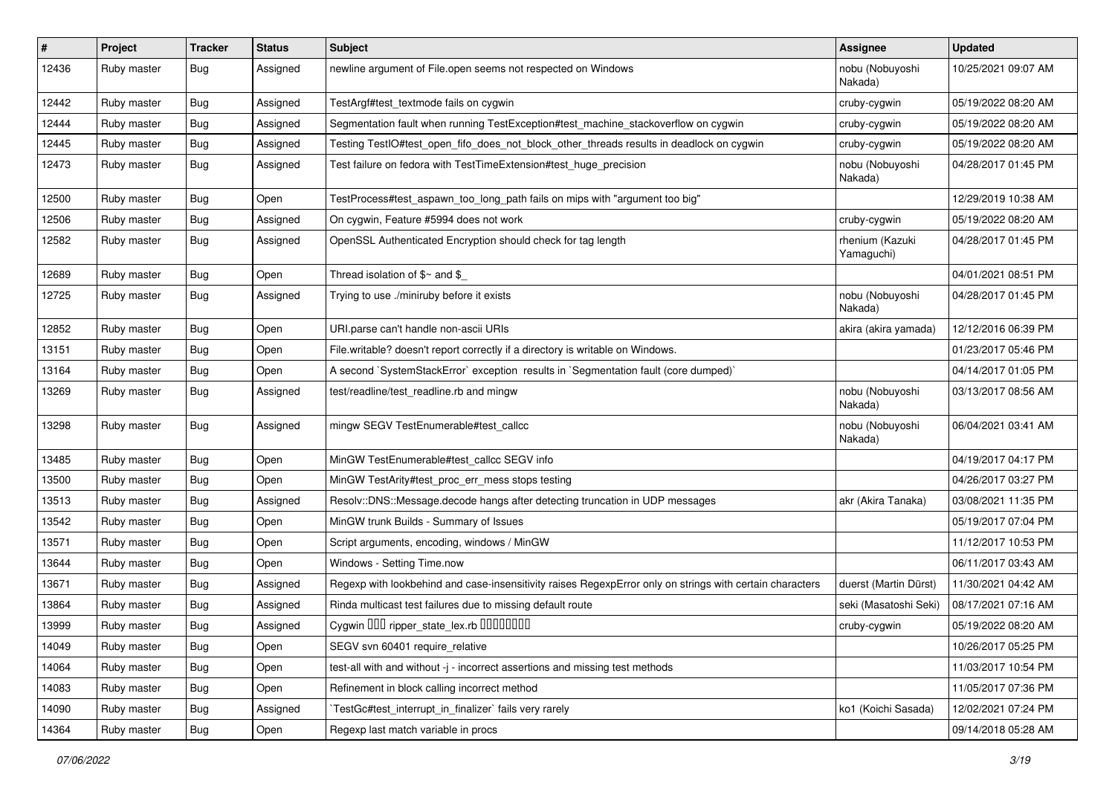| $\vert$ # | Project     | <b>Tracker</b>   | <b>Status</b> | Subject                                                                                                  | <b>Assignee</b>               | <b>Updated</b>      |
|-----------|-------------|------------------|---------------|----------------------------------------------------------------------------------------------------------|-------------------------------|---------------------|
| 12436     | Ruby master | <b>Bug</b>       | Assigned      | newline argument of File.open seems not respected on Windows                                             | nobu (Nobuyoshi<br>Nakada)    | 10/25/2021 09:07 AM |
| 12442     | Ruby master | <b>Bug</b>       | Assigned      | TestArgf#test textmode fails on cygwin                                                                   | cruby-cygwin                  | 05/19/2022 08:20 AM |
| 12444     | Ruby master | <b>Bug</b>       | Assigned      | Segmentation fault when running TestException#test_machine_stackoverflow on cygwin                       | cruby-cygwin                  | 05/19/2022 08:20 AM |
| 12445     | Ruby master | <b>Bug</b>       | Assigned      | Testing TestIO#test_open_fifo_does_not_block_other_threads results in deadlock on cygwin                 | cruby-cygwin                  | 05/19/2022 08:20 AM |
| 12473     | Ruby master | <b>Bug</b>       | Assigned      | Test failure on fedora with TestTimeExtension#test_huge_precision                                        | nobu (Nobuyoshi<br>Nakada)    | 04/28/2017 01:45 PM |
| 12500     | Ruby master | <b>Bug</b>       | Open          | TestProcess#test_aspawn_too_long_path fails on mips with "argument too big"                              |                               | 12/29/2019 10:38 AM |
| 12506     | Ruby master | <b>Bug</b>       | Assigned      | On cygwin, Feature #5994 does not work                                                                   | cruby-cygwin                  | 05/19/2022 08:20 AM |
| 12582     | Ruby master | <b>Bug</b>       | Assigned      | OpenSSL Authenticated Encryption should check for tag length                                             | rhenium (Kazuki<br>Yamaguchi) | 04/28/2017 01:45 PM |
| 12689     | Ruby master | <b>Bug</b>       | Open          | Thread isolation of $$~$ and $$$                                                                         |                               | 04/01/2021 08:51 PM |
| 12725     | Ruby master | Bug              | Assigned      | Trying to use ./miniruby before it exists                                                                | nobu (Nobuyoshi<br>Nakada)    | 04/28/2017 01:45 PM |
| 12852     | Ruby master | <b>Bug</b>       | Open          | URI.parse can't handle non-ascii URIs                                                                    | akira (akira yamada)          | 12/12/2016 06:39 PM |
| 13151     | Ruby master | <b>Bug</b>       | Open          | File.writable? doesn't report correctly if a directory is writable on Windows.                           |                               | 01/23/2017 05:46 PM |
| 13164     | Ruby master | <b>Bug</b>       | Open          | A second `SystemStackError` exception results in `Segmentation fault (core dumped)`                      |                               | 04/14/2017 01:05 PM |
| 13269     | Ruby master | <b>Bug</b>       | Assigned      | test/readline/test_readline.rb and mingw                                                                 | nobu (Nobuyoshi<br>Nakada)    | 03/13/2017 08:56 AM |
| 13298     | Ruby master | <b>Bug</b>       | Assigned      | mingw SEGV TestEnumerable#test_callcc                                                                    | nobu (Nobuyoshi<br>Nakada)    | 06/04/2021 03:41 AM |
| 13485     | Ruby master | <b>Bug</b>       | Open          | MinGW TestEnumerable#test_callcc SEGV info                                                               |                               | 04/19/2017 04:17 PM |
| 13500     | Ruby master | <b>Bug</b>       | Open          | MinGW TestArity#test_proc_err_mess stops testing                                                         |                               | 04/26/2017 03:27 PM |
| 13513     | Ruby master | <b>Bug</b>       | Assigned      | Resolv::DNS::Message.decode hangs after detecting truncation in UDP messages                             | akr (Akira Tanaka)            | 03/08/2021 11:35 PM |
| 13542     | Ruby master | <b>Bug</b>       | Open          | MinGW trunk Builds - Summary of Issues                                                                   |                               | 05/19/2017 07:04 PM |
| 13571     | Ruby master | <b>Bug</b>       | Open          | Script arguments, encoding, windows / MinGW                                                              |                               | 11/12/2017 10:53 PM |
| 13644     | Ruby master | <b>Bug</b>       | Open          | Windows - Setting Time.now                                                                               |                               | 06/11/2017 03:43 AM |
| 13671     | Ruby master | <b>Bug</b>       | Assigned      | Regexp with lookbehind and case-insensitivity raises RegexpError only on strings with certain characters | duerst (Martin Dürst)         | 11/30/2021 04:42 AM |
| 13864     | Ruby master | <b>Bug</b>       | Assigned      | Rinda multicast test failures due to missing default route                                               | seki (Masatoshi Seki)         | 08/17/2021 07:16 AM |
| 13999     | Ruby master | <sub>I</sub> Bug | Assigned      | Cygwin OOO ripper_state_lex.rb 0000000                                                                   | cruby-cygwin                  | 05/19/2022 08:20 AM |
| 14049     | Ruby master | <b>Bug</b>       | Open          | SEGV svn 60401 require relative                                                                          |                               | 10/26/2017 05:25 PM |
| 14064     | Ruby master | <b>Bug</b>       | Open          | test-all with and without -j - incorrect assertions and missing test methods                             |                               | 11/03/2017 10:54 PM |
| 14083     | Ruby master | <b>Bug</b>       | Open          | Refinement in block calling incorrect method                                                             |                               | 11/05/2017 07:36 PM |
| 14090     | Ruby master | <b>Bug</b>       | Assigned      | TestGc#test_interrupt_in_finalizer`fails very rarely                                                     | ko1 (Koichi Sasada)           | 12/02/2021 07:24 PM |
| 14364     | Ruby master | Bug              | Open          | Regexp last match variable in procs                                                                      |                               | 09/14/2018 05:28 AM |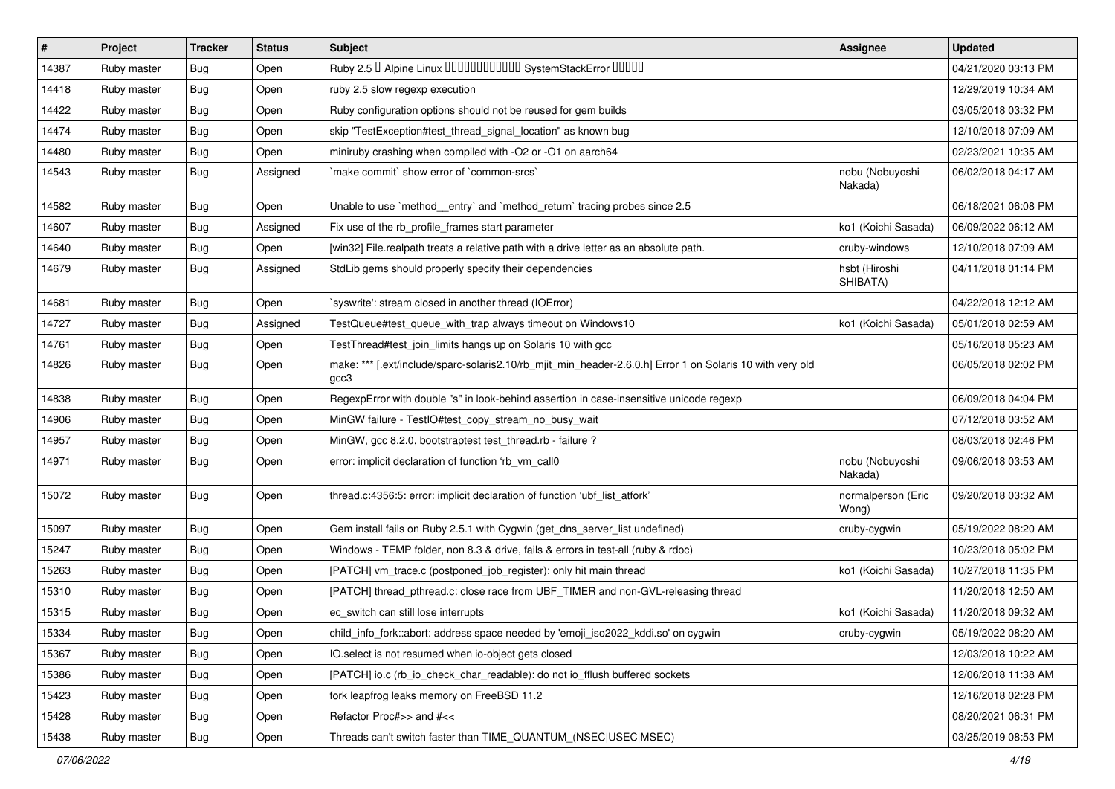| $\vert$ # | Project     | <b>Tracker</b> | <b>Status</b> | <b>Subject</b>                                                                                                    | <b>Assignee</b>             | <b>Updated</b>      |
|-----------|-------------|----------------|---------------|-------------------------------------------------------------------------------------------------------------------|-----------------------------|---------------------|
| 14387     | Ruby master | Bug            | Open          | Ruby 2.5 <sup>D</sup> Alpine Linux 000000000000 SystemStackError 00000                                            |                             | 04/21/2020 03:13 PM |
| 14418     | Ruby master | Bug            | Open          | ruby 2.5 slow regexp execution                                                                                    |                             | 12/29/2019 10:34 AM |
| 14422     | Ruby master | Bug            | Open          | Ruby configuration options should not be reused for gem builds                                                    |                             | 03/05/2018 03:32 PM |
| 14474     | Ruby master | <b>Bug</b>     | Open          | skip "TestException#test_thread_signal_location" as known bug                                                     |                             | 12/10/2018 07:09 AM |
| 14480     | Ruby master | <b>Bug</b>     | Open          | miniruby crashing when compiled with -O2 or -O1 on aarch64                                                        |                             | 02/23/2021 10:35 AM |
| 14543     | Ruby master | Bug            | Assigned      | make commit' show error of 'common-srcs'                                                                          | nobu (Nobuyoshi<br>Nakada)  | 06/02/2018 04:17 AM |
| 14582     | Ruby master | Bug            | Open          | Unable to use `method_entry` and `method_return` tracing probes since 2.5                                         |                             | 06/18/2021 06:08 PM |
| 14607     | Ruby master | Bug            | Assigned      | Fix use of the rb_profile_frames start parameter                                                                  | ko1 (Koichi Sasada)         | 06/09/2022 06:12 AM |
| 14640     | Ruby master | Bug            | Open          | [win32] File.realpath treats a relative path with a drive letter as an absolute path.                             | cruby-windows               | 12/10/2018 07:09 AM |
| 14679     | Ruby master | Bug            | Assigned      | StdLib gems should properly specify their dependencies                                                            | hsbt (Hiroshi<br>SHIBATA)   | 04/11/2018 01:14 PM |
| 14681     | Ruby master | <b>Bug</b>     | Open          | 'syswrite': stream closed in another thread (IOError)                                                             |                             | 04/22/2018 12:12 AM |
| 14727     | Ruby master | Bug            | Assigned      | TestQueue#test_queue_with_trap always timeout on Windows10                                                        | ko1 (Koichi Sasada)         | 05/01/2018 02:59 AM |
| 14761     | Ruby master | Bug            | Open          | TestThread#test_join_limits hangs up on Solaris 10 with gcc                                                       |                             | 05/16/2018 05:23 AM |
| 14826     | Ruby master | Bug            | Open          | make: *** [.ext/include/sparc-solaris2.10/rb_mjit_min_header-2.6.0.h] Error 1 on Solaris 10 with very old<br>gcc3 |                             | 06/05/2018 02:02 PM |
| 14838     | Ruby master | Bug            | Open          | RegexpError with double "s" in look-behind assertion in case-insensitive unicode regexp                           |                             | 06/09/2018 04:04 PM |
| 14906     | Ruby master | Bug            | Open          | MinGW failure - TestIO#test_copy_stream_no_busy_wait                                                              |                             | 07/12/2018 03:52 AM |
| 14957     | Ruby master | <b>Bug</b>     | Open          | MinGW, gcc 8.2.0, bootstraptest test_thread.rb - failure ?                                                        |                             | 08/03/2018 02:46 PM |
| 14971     | Ruby master | Bug            | Open          | error: implicit declaration of function 'rb_vm_call0                                                              | nobu (Nobuyoshi<br>Nakada)  | 09/06/2018 03:53 AM |
| 15072     | Ruby master | Bug            | Open          | thread.c:4356:5: error: implicit declaration of function 'ubf_list_atfork'                                        | normalperson (Eric<br>Wong) | 09/20/2018 03:32 AM |
| 15097     | Ruby master | Bug            | Open          | Gem install fails on Ruby 2.5.1 with Cygwin (get_dns_server_list undefined)                                       | cruby-cygwin                | 05/19/2022 08:20 AM |
| 15247     | Ruby master | <b>Bug</b>     | Open          | Windows - TEMP folder, non 8.3 & drive, fails & errors in test-all (ruby & rdoc)                                  |                             | 10/23/2018 05:02 PM |
| 15263     | Ruby master | Bug            | Open          | [PATCH] vm_trace.c (postponed_job_register): only hit main thread                                                 | ko1 (Koichi Sasada)         | 10/27/2018 11:35 PM |
| 15310     | Ruby master | <b>Bug</b>     | Open          | [PATCH] thread_pthread.c: close race from UBF_TIMER and non-GVL-releasing thread                                  |                             | 11/20/2018 12:50 AM |
| 15315     | Ruby master | <b>Bug</b>     | Open          | ec_switch can still lose interrupts                                                                               | ko1 (Koichi Sasada)         | 11/20/2018 09:32 AM |
| 15334     | Ruby master | Bug            | Open          | child_info_fork::abort: address space needed by 'emoji_iso2022_kddi.so' on cygwin                                 | cruby-cygwin                | 05/19/2022 08:20 AM |
| 15367     | Ruby master | <b>Bug</b>     | Open          | IO.select is not resumed when io-object gets closed                                                               |                             | 12/03/2018 10:22 AM |
| 15386     | Ruby master | <b>Bug</b>     | Open          | [PATCH] io.c (rb_io_check_char_readable): do not io_fflush buffered sockets                                       |                             | 12/06/2018 11:38 AM |
| 15423     | Ruby master | <b>Bug</b>     | Open          | fork leapfrog leaks memory on FreeBSD 11.2                                                                        |                             | 12/16/2018 02:28 PM |
| 15428     | Ruby master | <b>Bug</b>     | Open          | Refactor Proc#>> and #<<                                                                                          |                             | 08/20/2021 06:31 PM |
| 15438     | Ruby master | <b>Bug</b>     | Open          | Threads can't switch faster than TIME QUANTUM (NSEC USEC MSEC)                                                    |                             | 03/25/2019 08:53 PM |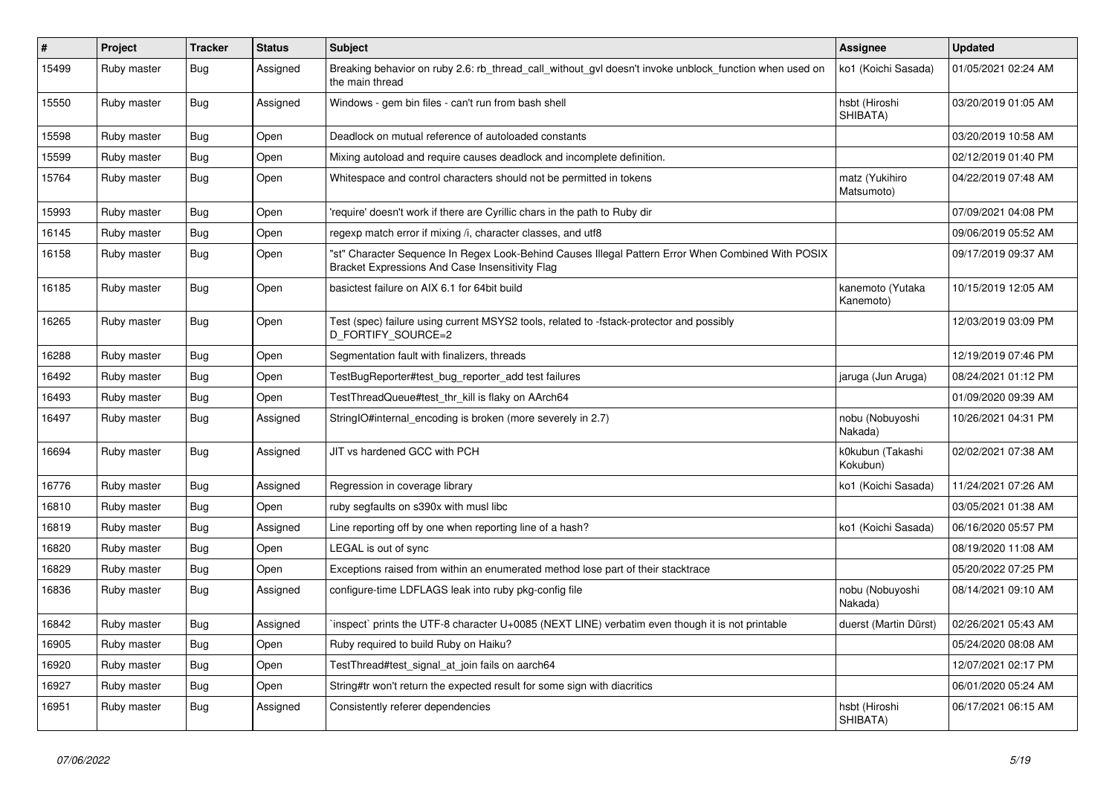| $\vert$ # | Project     | <b>Tracker</b> | <b>Status</b> | <b>Subject</b>                                                                                                                                        | <b>Assignee</b>               | <b>Updated</b>      |
|-----------|-------------|----------------|---------------|-------------------------------------------------------------------------------------------------------------------------------------------------------|-------------------------------|---------------------|
| 15499     | Ruby master | <b>Bug</b>     | Assigned      | Breaking behavior on ruby 2.6: rb thread call without gyl doesn't invoke unblock function when used on<br>the main thread                             | ko1 (Koichi Sasada)           | 01/05/2021 02:24 AM |
| 15550     | Ruby master | <b>Bug</b>     | Assigned      | Windows - gem bin files - can't run from bash shell                                                                                                   | hsbt (Hiroshi<br>SHIBATA)     | 03/20/2019 01:05 AM |
| 15598     | Ruby master | <b>Bug</b>     | Open          | Deadlock on mutual reference of autoloaded constants                                                                                                  |                               | 03/20/2019 10:58 AM |
| 15599     | Ruby master | <b>Bug</b>     | Open          | Mixing autoload and require causes deadlock and incomplete definition.                                                                                |                               | 02/12/2019 01:40 PM |
| 15764     | Ruby master | Bug            | Open          | Whitespace and control characters should not be permitted in tokens                                                                                   | matz (Yukihiro<br>Matsumoto)  | 04/22/2019 07:48 AM |
| 15993     | Ruby master | Bug            | Open          | require' doesn't work if there are Cyrillic chars in the path to Ruby dir                                                                             |                               | 07/09/2021 04:08 PM |
| 16145     | Ruby master | <b>Bug</b>     | Open          | regexp match error if mixing /i, character classes, and utf8                                                                                          |                               | 09/06/2019 05:52 AM |
| 16158     | Ruby master | Bug            | Open          | "st" Character Sequence In Regex Look-Behind Causes Illegal Pattern Error When Combined With POSIX<br>Bracket Expressions And Case Insensitivity Flag |                               | 09/17/2019 09:37 AM |
| 16185     | Ruby master | Bug            | Open          | basictest failure on AIX 6.1 for 64bit build                                                                                                          | kanemoto (Yutaka<br>Kanemoto) | 10/15/2019 12:05 AM |
| 16265     | Ruby master | <b>Bug</b>     | Open          | Test (spec) failure using current MSYS2 tools, related to -fstack-protector and possibly<br>D_FORTIFY_SOURCE=2                                        |                               | 12/03/2019 03:09 PM |
| 16288     | Ruby master | <b>Bug</b>     | Open          | Segmentation fault with finalizers, threads                                                                                                           |                               | 12/19/2019 07:46 PM |
| 16492     | Ruby master | <b>Bug</b>     | Open          | TestBugReporter#test bug reporter add test failures                                                                                                   | jaruga (Jun Aruga)            | 08/24/2021 01:12 PM |
| 16493     | Ruby master | <b>Bug</b>     | Open          | TestThreadQueue#test_thr_kill is flaky on AArch64                                                                                                     |                               | 01/09/2020 09:39 AM |
| 16497     | Ruby master | Bug            | Assigned      | StringIO#internal_encoding is broken (more severely in 2.7)                                                                                           | nobu (Nobuyoshi<br>Nakada)    | 10/26/2021 04:31 PM |
| 16694     | Ruby master | <b>Bug</b>     | Assigned      | JIT vs hardened GCC with PCH                                                                                                                          | k0kubun (Takashi<br>Kokubun)  | 02/02/2021 07:38 AM |
| 16776     | Ruby master | Bug            | Assigned      | Regression in coverage library                                                                                                                        | ko1 (Koichi Sasada)           | 11/24/2021 07:26 AM |
| 16810     | Ruby master | Bug            | Open          | ruby segfaults on s390x with musl libc                                                                                                                |                               | 03/05/2021 01:38 AM |
| 16819     | Ruby master | Bug            | Assigned      | Line reporting off by one when reporting line of a hash?                                                                                              | ko1 (Koichi Sasada)           | 06/16/2020 05:57 PM |
| 16820     | Ruby master | <b>Bug</b>     | Open          | LEGAL is out of sync                                                                                                                                  |                               | 08/19/2020 11:08 AM |
| 16829     | Ruby master | <b>Bug</b>     | Open          | Exceptions raised from within an enumerated method lose part of their stacktrace                                                                      |                               | 05/20/2022 07:25 PM |
| 16836     | Ruby master | <b>Bug</b>     | Assigned      | configure-time LDFLAGS leak into ruby pkg-config file                                                                                                 | nobu (Nobuyoshi<br>Nakada)    | 08/14/2021 09:10 AM |
| 16842     | Ruby master | <b>Bug</b>     | Assigned      | inspect` prints the UTF-8 character U+0085 (NEXT LINE) verbatim even though it is not printable                                                       | duerst (Martin Dürst)         | 02/26/2021 05:43 AM |
| 16905     | Ruby master | Bug            | Open          | Ruby required to build Ruby on Haiku?                                                                                                                 |                               | 05/24/2020 08:08 AM |
| 16920     | Ruby master | Bug            | Open          | TestThread#test_signal_at_join fails on aarch64                                                                                                       |                               | 12/07/2021 02:17 PM |
| 16927     | Ruby master | <b>Bug</b>     | Open          | String#tr won't return the expected result for some sign with diacritics                                                                              |                               | 06/01/2020 05:24 AM |
| 16951     | Ruby master | Bug            | Assigned      | Consistently referer dependencies                                                                                                                     | hsbt (Hiroshi<br>SHIBATA)     | 06/17/2021 06:15 AM |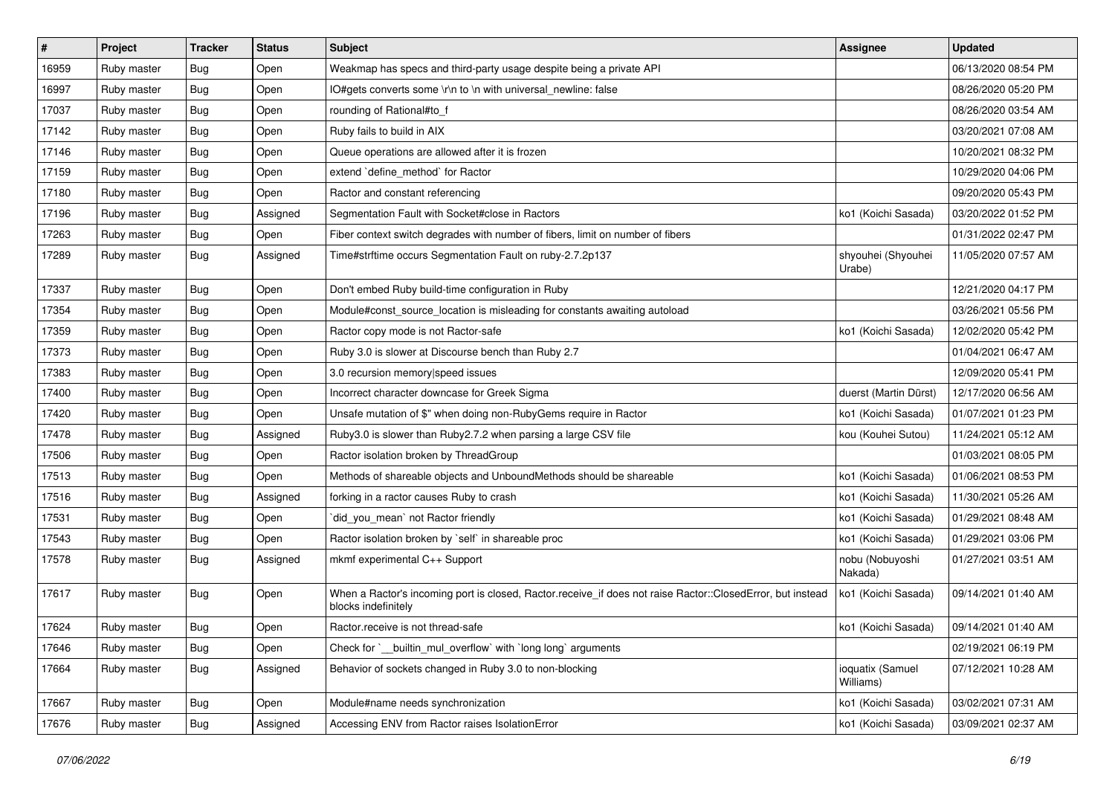| #     | Project     | <b>Tracker</b> | <b>Status</b> | Subject                                                                                                                           | <b>Assignee</b>               | <b>Updated</b>      |
|-------|-------------|----------------|---------------|-----------------------------------------------------------------------------------------------------------------------------------|-------------------------------|---------------------|
| 16959 | Ruby master | <b>Bug</b>     | Open          | Weakmap has specs and third-party usage despite being a private API                                                               |                               | 06/13/2020 08:54 PM |
| 16997 | Ruby master | <b>Bug</b>     | Open          | IO#gets converts some \r\n to \n with universal_newline: false                                                                    |                               | 08/26/2020 05:20 PM |
| 17037 | Ruby master | <b>Bug</b>     | Open          | rounding of Rational#to_f                                                                                                         |                               | 08/26/2020 03:54 AM |
| 17142 | Ruby master | <b>Bug</b>     | Open          | Ruby fails to build in AIX                                                                                                        |                               | 03/20/2021 07:08 AM |
| 17146 | Ruby master | <b>Bug</b>     | Open          | Queue operations are allowed after it is frozen                                                                                   |                               | 10/20/2021 08:32 PM |
| 17159 | Ruby master | <b>Bug</b>     | Open          | extend `define_method` for Ractor                                                                                                 |                               | 10/29/2020 04:06 PM |
| 17180 | Ruby master | <b>Bug</b>     | Open          | Ractor and constant referencing                                                                                                   |                               | 09/20/2020 05:43 PM |
| 17196 | Ruby master | Bug            | Assigned      | Segmentation Fault with Socket#close in Ractors                                                                                   | ko1 (Koichi Sasada)           | 03/20/2022 01:52 PM |
| 17263 | Ruby master | Bug            | Open          | Fiber context switch degrades with number of fibers, limit on number of fibers                                                    |                               | 01/31/2022 02:47 PM |
| 17289 | Ruby master | <b>Bug</b>     | Assigned      | Time#strftime occurs Segmentation Fault on ruby-2.7.2p137                                                                         | shyouhei (Shyouhei<br>Urabe)  | 11/05/2020 07:57 AM |
| 17337 | Ruby master | <b>Bug</b>     | Open          | Don't embed Ruby build-time configuration in Ruby                                                                                 |                               | 12/21/2020 04:17 PM |
| 17354 | Ruby master | <b>Bug</b>     | Open          | Module#const_source_location is misleading for constants awaiting autoload                                                        |                               | 03/26/2021 05:56 PM |
| 17359 | Ruby master | <b>Bug</b>     | Open          | Ractor copy mode is not Ractor-safe                                                                                               | ko1 (Koichi Sasada)           | 12/02/2020 05:42 PM |
| 17373 | Ruby master | <b>Bug</b>     | Open          | Ruby 3.0 is slower at Discourse bench than Ruby 2.7                                                                               |                               | 01/04/2021 06:47 AM |
| 17383 | Ruby master | <b>Bug</b>     | Open          | 3.0 recursion memory speed issues                                                                                                 |                               | 12/09/2020 05:41 PM |
| 17400 | Ruby master | Bug            | Open          | Incorrect character downcase for Greek Sigma                                                                                      | duerst (Martin Dürst)         | 12/17/2020 06:56 AM |
| 17420 | Ruby master | <b>Bug</b>     | Open          | Unsafe mutation of \$" when doing non-RubyGems require in Ractor                                                                  | ko1 (Koichi Sasada)           | 01/07/2021 01:23 PM |
| 17478 | Ruby master | <b>Bug</b>     | Assigned      | Ruby3.0 is slower than Ruby2.7.2 when parsing a large CSV file                                                                    | kou (Kouhei Sutou)            | 11/24/2021 05:12 AM |
| 17506 | Ruby master | <b>Bug</b>     | Open          | Ractor isolation broken by ThreadGroup                                                                                            |                               | 01/03/2021 08:05 PM |
| 17513 | Ruby master | <b>Bug</b>     | Open          | Methods of shareable objects and UnboundMethods should be shareable                                                               | ko1 (Koichi Sasada)           | 01/06/2021 08:53 PM |
| 17516 | Ruby master | <b>Bug</b>     | Assigned      | forking in a ractor causes Ruby to crash                                                                                          | ko1 (Koichi Sasada)           | 11/30/2021 05:26 AM |
| 17531 | Ruby master | <b>Bug</b>     | Open          | did_you_mean' not Ractor friendly                                                                                                 | ko1 (Koichi Sasada)           | 01/29/2021 08:48 AM |
| 17543 | Ruby master | <b>Bug</b>     | Open          | Ractor isolation broken by `self` in shareable proc                                                                               | ko1 (Koichi Sasada)           | 01/29/2021 03:06 PM |
| 17578 | Ruby master | <b>Bug</b>     | Assigned      | mkmf experimental C++ Support                                                                                                     | nobu (Nobuyoshi<br>Nakada)    | 01/27/2021 03:51 AM |
| 17617 | Ruby master | <b>Bug</b>     | Open          | When a Ractor's incoming port is closed, Ractor.receive_if does not raise Ractor::ClosedError, but instead<br>blocks indefinitely | ko1 (Koichi Sasada)           | 09/14/2021 01:40 AM |
| 17624 | Ruby master | Bug            | Open          | Ractor.receive is not thread-safe                                                                                                 | ko1 (Koichi Sasada)           | 09/14/2021 01:40 AM |
| 17646 | Ruby master | <b>Bug</b>     | Open          | Check for `__builtin_mul_overflow` with `long long` arguments                                                                     |                               | 02/19/2021 06:19 PM |
| 17664 | Ruby master | <b>Bug</b>     | Assigned      | Behavior of sockets changed in Ruby 3.0 to non-blocking                                                                           | ioquatix (Samuel<br>Williams) | 07/12/2021 10:28 AM |
| 17667 | Ruby master | <b>Bug</b>     | Open          | Module#name needs synchronization                                                                                                 | ko1 (Koichi Sasada)           | 03/02/2021 07:31 AM |
| 17676 | Ruby master | <b>Bug</b>     | Assigned      | Accessing ENV from Ractor raises IsolationError                                                                                   | ko1 (Koichi Sasada)           | 03/09/2021 02:37 AM |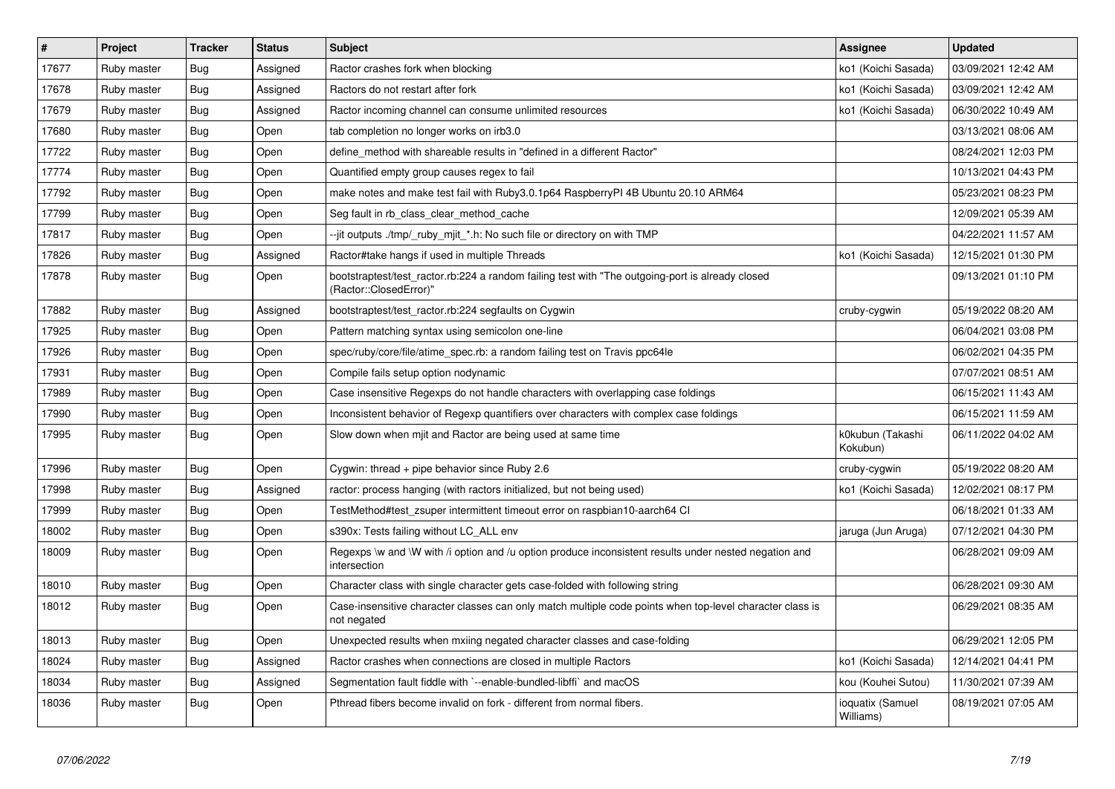| $\sharp$ | Project     | <b>Tracker</b> | <b>Status</b> | <b>Subject</b>                                                                                                             | <b>Assignee</b>               | <b>Updated</b>      |
|----------|-------------|----------------|---------------|----------------------------------------------------------------------------------------------------------------------------|-------------------------------|---------------------|
| 17677    | Ruby master | <b>Bug</b>     | Assigned      | Ractor crashes fork when blocking                                                                                          | ko1 (Koichi Sasada)           | 03/09/2021 12:42 AM |
| 17678    | Ruby master | <b>Bug</b>     | Assigned      | Ractors do not restart after fork                                                                                          | ko1 (Koichi Sasada)           | 03/09/2021 12:42 AM |
| 17679    | Ruby master | <b>Bug</b>     | Assigned      | Ractor incoming channel can consume unlimited resources                                                                    | ko1 (Koichi Sasada)           | 06/30/2022 10:49 AM |
| 17680    | Ruby master | <b>Bug</b>     | Open          | tab completion no longer works on irb3.0                                                                                   |                               | 03/13/2021 08:06 AM |
| 17722    | Ruby master | Bug            | Open          | define method with shareable results in "defined in a different Ractor"                                                    |                               | 08/24/2021 12:03 PM |
| 17774    | Ruby master | <b>Bug</b>     | Open          | Quantified empty group causes regex to fail                                                                                |                               | 10/13/2021 04:43 PM |
| 17792    | Ruby master | <b>Bug</b>     | Open          | make notes and make test fail with Ruby3.0.1p64 RaspberryPI 4B Ubuntu 20.10 ARM64                                          |                               | 05/23/2021 08:23 PM |
| 17799    | Ruby master | Bug            | Open          | Seg fault in rb class clear method cache                                                                                   |                               | 12/09/2021 05:39 AM |
| 17817    | Ruby master | <b>Bug</b>     | Open          | --jit outputs ./tmp/_ruby_mjit_*.h: No such file or directory on with TMP                                                  |                               | 04/22/2021 11:57 AM |
| 17826    | Ruby master | <b>Bug</b>     | Assigned      | Ractor#take hangs if used in multiple Threads                                                                              | ko1 (Koichi Sasada)           | 12/15/2021 01:30 PM |
| 17878    | Ruby master | <b>Bug</b>     | Open          | bootstraptest/test_ractor.rb:224 a random failing test with "The outgoing-port is already closed<br>(Ractor::ClosedError)" |                               | 09/13/2021 01:10 PM |
| 17882    | Ruby master | <b>Bug</b>     | Assigned      | bootstraptest/test_ractor.rb:224 segfaults on Cygwin                                                                       | cruby-cygwin                  | 05/19/2022 08:20 AM |
| 17925    | Ruby master | <b>Bug</b>     | Open          | Pattern matching syntax using semicolon one-line                                                                           |                               | 06/04/2021 03:08 PM |
| 17926    | Ruby master | <b>Bug</b>     | Open          | spec/ruby/core/file/atime spec.rb: a random failing test on Travis ppc64le                                                 |                               | 06/02/2021 04:35 PM |
| 17931    | Ruby master | <b>Bug</b>     | Open          | Compile fails setup option nodynamic                                                                                       |                               | 07/07/2021 08:51 AM |
| 17989    | Ruby master | <b>Bug</b>     | Open          | Case insensitive Regexps do not handle characters with overlapping case foldings                                           |                               | 06/15/2021 11:43 AM |
| 17990    | Ruby master | Bug            | Open          | Inconsistent behavior of Regexp quantifiers over characters with complex case foldings                                     |                               | 06/15/2021 11:59 AM |
| 17995    | Ruby master | Bug            | Open          | Slow down when mjit and Ractor are being used at same time                                                                 | k0kubun (Takashi<br>Kokubun)  | 06/11/2022 04:02 AM |
| 17996    | Ruby master | <b>Bug</b>     | Open          | Cygwin: thread $+$ pipe behavior since Ruby 2.6                                                                            | cruby-cygwin                  | 05/19/2022 08:20 AM |
| 17998    | Ruby master | Bug            | Assigned      | ractor: process hanging (with ractors initialized, but not being used)                                                     | ko1 (Koichi Sasada)           | 12/02/2021 08:17 PM |
| 17999    | Ruby master | <b>Bug</b>     | Open          | TestMethod#test zsuper intermittent timeout error on raspbian10-aarch64 CI                                                 |                               | 06/18/2021 01:33 AM |
| 18002    | Ruby master | <b>Bug</b>     | Open          | s390x: Tests failing without LC_ALL env                                                                                    | jaruga (Jun Aruga)            | 07/12/2021 04:30 PM |
| 18009    | Ruby master | Bug            | Open          | Regexps \w and \W with /i option and /u option produce inconsistent results under nested negation and<br>intersection      |                               | 06/28/2021 09:09 AM |
| 18010    | Ruby master | <b>Bug</b>     | Open          | Character class with single character gets case-folded with following string                                               |                               | 06/28/2021 09:30 AM |
| 18012    | Ruby master | <b>Bug</b>     | Open          | Case-insensitive character classes can only match multiple code points when top-level character class is<br>not negated    |                               | 06/29/2021 08:35 AM |
| 18013    | Ruby master | <b>Bug</b>     | Open          | Unexpected results when mxiing negated character classes and case-folding                                                  |                               | 06/29/2021 12:05 PM |
| 18024    | Ruby master | <b>Bug</b>     | Assigned      | Ractor crashes when connections are closed in multiple Ractors                                                             | ko1 (Koichi Sasada)           | 12/14/2021 04:41 PM |
| 18034    | Ruby master | Bug            | Assigned      | Segmentation fault fiddle with `--enable-bundled-libffi` and macOS                                                         | kou (Kouhei Sutou)            | 11/30/2021 07:39 AM |
| 18036    | Ruby master | Bug            | Open          | Pthread fibers become invalid on fork - different from normal fibers.                                                      | ioquatix (Samuel<br>Williams) | 08/19/2021 07:05 AM |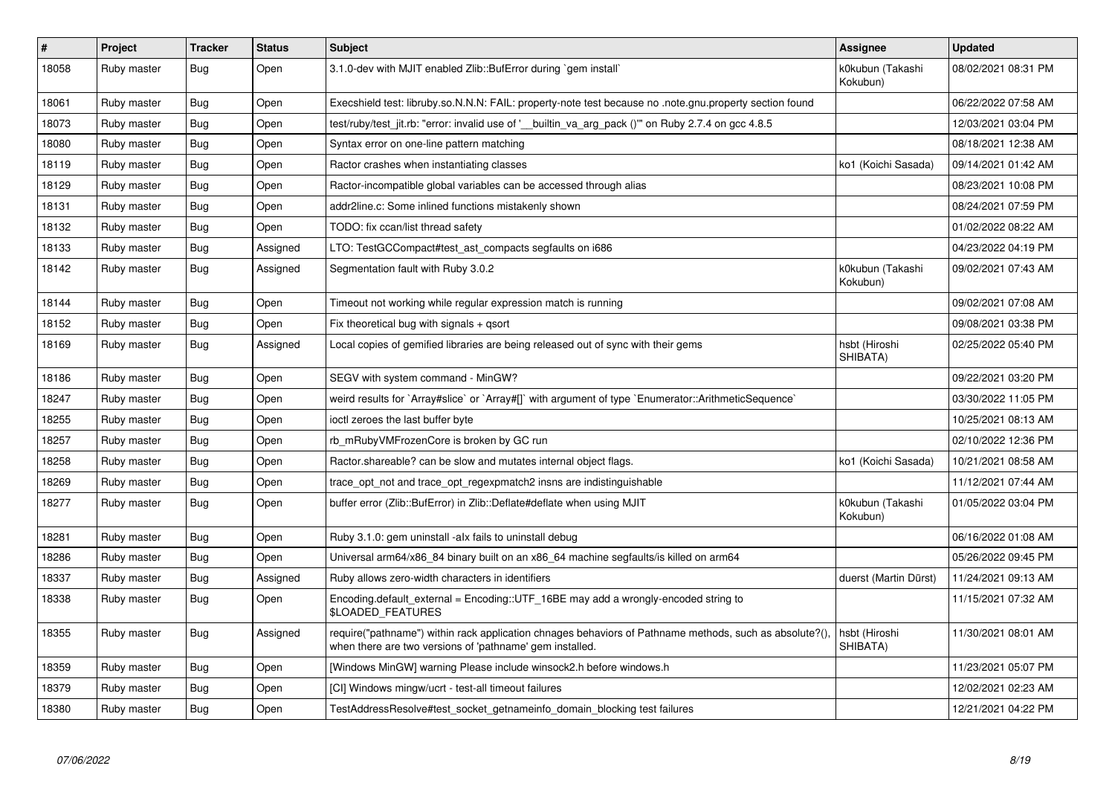| $\pmb{\#}$ | Project     | <b>Tracker</b> | <b>Status</b> | <b>Subject</b>                                                                                                                                                      | <b>Assignee</b>              | <b>Updated</b>      |
|------------|-------------|----------------|---------------|---------------------------------------------------------------------------------------------------------------------------------------------------------------------|------------------------------|---------------------|
| 18058      | Ruby master | <b>Bug</b>     | Open          | 3.1.0-dev with MJIT enabled Zlib::BufError during `gem install`                                                                                                     | k0kubun (Takashi<br>Kokubun) | 08/02/2021 08:31 PM |
| 18061      | Ruby master | Bug            | Open          | Execshield test: libruby.so.N.N.N: FAIL: property-note test because no .note.gnu.property section found                                                             |                              | 06/22/2022 07:58 AM |
| 18073      | Ruby master | <b>Bug</b>     | Open          | test/ruby/test_jit.rb: "error: invalid use of '__builtin_va_arg_pack ()"" on Ruby 2.7.4 on gcc 4.8.5                                                                |                              | 12/03/2021 03:04 PM |
| 18080      | Ruby master | <b>Bug</b>     | Open          | Syntax error on one-line pattern matching                                                                                                                           |                              | 08/18/2021 12:38 AM |
| 18119      | Ruby master | <b>Bug</b>     | Open          | Ractor crashes when instantiating classes                                                                                                                           | ko1 (Koichi Sasada)          | 09/14/2021 01:42 AM |
| 18129      | Ruby master | <b>Bug</b>     | Open          | Ractor-incompatible global variables can be accessed through alias                                                                                                  |                              | 08/23/2021 10:08 PM |
| 18131      | Ruby master | Bug            | Open          | addr2line.c: Some inlined functions mistakenly shown                                                                                                                |                              | 08/24/2021 07:59 PM |
| 18132      | Ruby master | <b>Bug</b>     | Open          | TODO: fix ccan/list thread safety                                                                                                                                   |                              | 01/02/2022 08:22 AM |
| 18133      | Ruby master | Bug            | Assigned      | LTO: TestGCCompact#test ast compacts segfaults on i686                                                                                                              |                              | 04/23/2022 04:19 PM |
| 18142      | Ruby master | <b>Bug</b>     | Assigned      | Segmentation fault with Ruby 3.0.2                                                                                                                                  | k0kubun (Takashi<br>Kokubun) | 09/02/2021 07:43 AM |
| 18144      | Ruby master | <b>Bug</b>     | Open          | Timeout not working while regular expression match is running                                                                                                       |                              | 09/02/2021 07:08 AM |
| 18152      | Ruby master | <b>Bug</b>     | Open          | Fix theoretical bug with signals $+$ qsort                                                                                                                          |                              | 09/08/2021 03:38 PM |
| 18169      | Ruby master | Bug            | Assigned      | Local copies of gemified libraries are being released out of sync with their gems                                                                                   | hsbt (Hiroshi<br>SHIBATA)    | 02/25/2022 05:40 PM |
| 18186      | Ruby master | Bug            | Open          | SEGV with system command - MinGW?                                                                                                                                   |                              | 09/22/2021 03:20 PM |
| 18247      | Ruby master | <b>Bug</b>     | Open          | weird results for `Array#slice` or `Array#[]` with argument of type `Enumerator::ArithmeticSequence`                                                                |                              | 03/30/2022 11:05 PM |
| 18255      | Ruby master | Bug            | Open          | ioctl zeroes the last buffer byte                                                                                                                                   |                              | 10/25/2021 08:13 AM |
| 18257      | Ruby master | <b>Bug</b>     | Open          | rb_mRubyVMFrozenCore is broken by GC run                                                                                                                            |                              | 02/10/2022 12:36 PM |
| 18258      | Ruby master | <b>Bug</b>     | Open          | Ractor shareable? can be slow and mutates internal object flags.                                                                                                    | ko1 (Koichi Sasada)          | 10/21/2021 08:58 AM |
| 18269      | Ruby master | <b>Bug</b>     | Open          | trace_opt_not and trace_opt_regexpmatch2 insns are indistinguishable                                                                                                |                              | 11/12/2021 07:44 AM |
| 18277      | Ruby master | <b>Bug</b>     | Open          | buffer error (Zlib::BufError) in Zlib::Deflate#deflate when using MJIT                                                                                              | k0kubun (Takashi<br>Kokubun) | 01/05/2022 03:04 PM |
| 18281      | Ruby master | <b>Bug</b>     | Open          | Ruby 3.1.0: gem uninstall -alx fails to uninstall debug                                                                                                             |                              | 06/16/2022 01:08 AM |
| 18286      | Ruby master | <b>Bug</b>     | Open          | Universal arm64/x86_84 binary built on an x86_64 machine segfaults/is killed on arm64                                                                               |                              | 05/26/2022 09:45 PM |
| 18337      | Ruby master | Bug            | Assigned      | Ruby allows zero-width characters in identifiers                                                                                                                    | duerst (Martin Dürst)        | 11/24/2021 09:13 AM |
| 18338      | Ruby master | <b>Bug</b>     | Open          | Encoding.default_external = Encoding::UTF_16BE may add a wrongly-encoded string to<br><b>\$LOADED FEATURES</b>                                                      |                              | 11/15/2021 07:32 AM |
| 18355      | Ruby master | Bug            | Assigned      | require("pathname") within rack application chnages behaviors of Pathname methods, such as absolute?(),<br>when there are two versions of 'pathname' gem installed. | hsbt (Hiroshi<br>SHIBATA)    | 11/30/2021 08:01 AM |
| 18359      | Ruby master | <b>Bug</b>     | Open          | [Windows MinGW] warning Please include winsock2.h before windows.h                                                                                                  |                              | 11/23/2021 05:07 PM |
| 18379      | Ruby master | <b>Bug</b>     | Open          | [CI] Windows mingw/ucrt - test-all timeout failures                                                                                                                 |                              | 12/02/2021 02:23 AM |
| 18380      | Ruby master | Bug            | Open          | TestAddressResolve#test socket getnameinfo domain blocking test failures                                                                                            |                              | 12/21/2021 04:22 PM |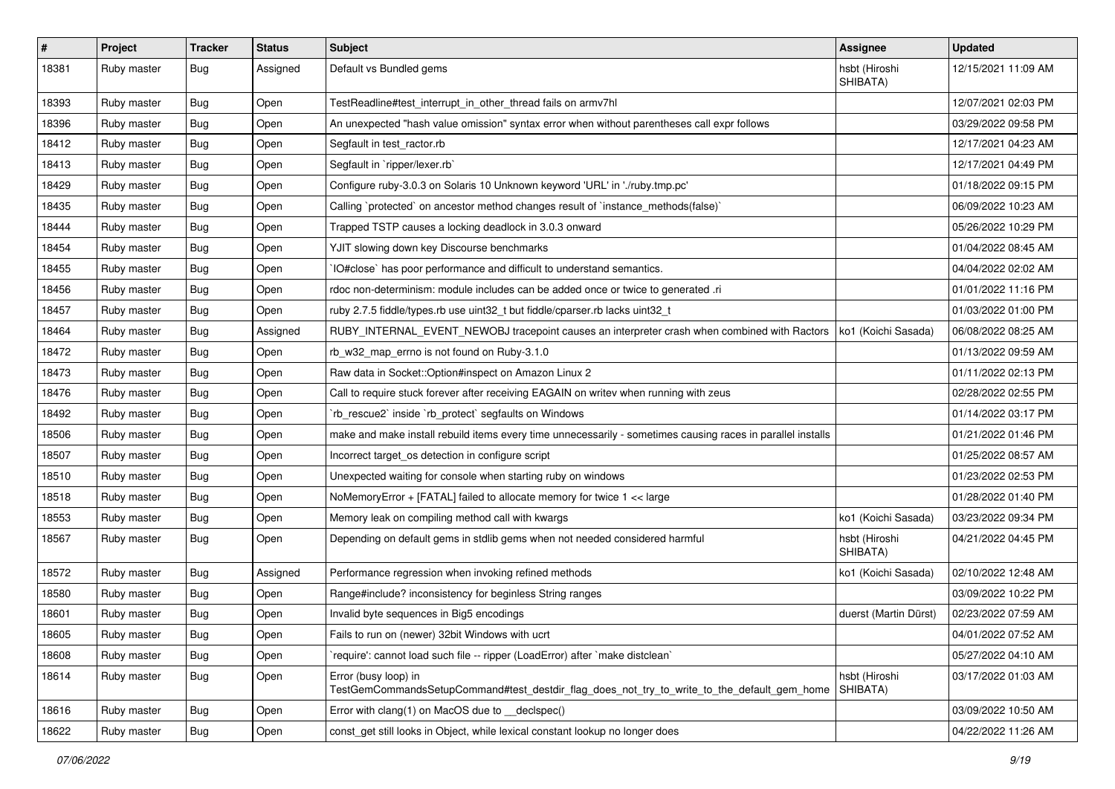| $\vert$ # | Project     | <b>Tracker</b> | <b>Status</b> | Subject                                                                                                             | <b>Assignee</b>           | <b>Updated</b>      |
|-----------|-------------|----------------|---------------|---------------------------------------------------------------------------------------------------------------------|---------------------------|---------------------|
| 18381     | Ruby master | Bug            | Assigned      | Default vs Bundled gems                                                                                             | hsbt (Hiroshi<br>SHIBATA) | 12/15/2021 11:09 AM |
| 18393     | Ruby master | Bug            | Open          | TestReadline#test_interrupt_in_other_thread fails on armv7hl                                                        |                           | 12/07/2021 02:03 PM |
| 18396     | Ruby master | <b>Bug</b>     | Open          | An unexpected "hash value omission" syntax error when without parentheses call expr follows                         |                           | 03/29/2022 09:58 PM |
| 18412     | Ruby master | <b>Bug</b>     | Open          | Segfault in test_ractor.rb                                                                                          |                           | 12/17/2021 04:23 AM |
| 18413     | Ruby master | <b>Bug</b>     | Open          | Segfault in `ripper/lexer.rb`                                                                                       |                           | 12/17/2021 04:49 PM |
| 18429     | Ruby master | <b>Bug</b>     | Open          | Configure ruby-3.0.3 on Solaris 10 Unknown keyword 'URL' in './ruby.tmp.pc'                                         |                           | 01/18/2022 09:15 PM |
| 18435     | Ruby master | Bug            | Open          | Calling `protected` on ancestor method changes result of `instance_methods(false)`                                  |                           | 06/09/2022 10:23 AM |
| 18444     | Ruby master | <b>Bug</b>     | Open          | Trapped TSTP causes a locking deadlock in 3.0.3 onward                                                              |                           | 05/26/2022 10:29 PM |
| 18454     | Ruby master | <b>Bug</b>     | Open          | YJIT slowing down key Discourse benchmarks                                                                          |                           | 01/04/2022 08:45 AM |
| 18455     | Ruby master | Bug            | Open          | IO#close` has poor performance and difficult to understand semantics.                                               |                           | 04/04/2022 02:02 AM |
| 18456     | Ruby master | Bug            | Open          | rdoc non-determinism: module includes can be added once or twice to generated .ri                                   |                           | 01/01/2022 11:16 PM |
| 18457     | Ruby master | Bug            | Open          | ruby 2.7.5 fiddle/types.rb use uint32_t but fiddle/cparser.rb lacks uint32_t                                        |                           | 01/03/2022 01:00 PM |
| 18464     | Ruby master | <b>Bug</b>     | Assigned      | RUBY_INTERNAL_EVENT_NEWOBJ tracepoint causes an interpreter crash when combined with Ractors                        | ko1 (Koichi Sasada)       | 06/08/2022 08:25 AM |
| 18472     | Ruby master | <b>Bug</b>     | Open          | rb_w32_map_errno is not found on Ruby-3.1.0                                                                         |                           | 01/13/2022 09:59 AM |
| 18473     | Ruby master | <b>Bug</b>     | Open          | Raw data in Socket::Option#inspect on Amazon Linux 2                                                                |                           | 01/11/2022 02:13 PM |
| 18476     | Ruby master | Bug            | Open          | Call to require stuck forever after receiving EAGAIN on writev when running with zeus                               |                           | 02/28/2022 02:55 PM |
| 18492     | Ruby master | <b>Bug</b>     | Open          | 'rb_rescue2' inside 'rb_protect' segfaults on Windows                                                               |                           | 01/14/2022 03:17 PM |
| 18506     | Ruby master | Bug            | Open          | make and make install rebuild items every time unnecessarily - sometimes causing races in parallel installs         |                           | 01/21/2022 01:46 PM |
| 18507     | Ruby master | <b>Bug</b>     | Open          | Incorrect target_os detection in configure script                                                                   |                           | 01/25/2022 08:57 AM |
| 18510     | Ruby master | Bug            | Open          | Unexpected waiting for console when starting ruby on windows                                                        |                           | 01/23/2022 02:53 PM |
| 18518     | Ruby master | <b>Bug</b>     | Open          | NoMemoryError + [FATAL] failed to allocate memory for twice 1 << large                                              |                           | 01/28/2022 01:40 PM |
| 18553     | Ruby master | <b>Bug</b>     | Open          | Memory leak on compiling method call with kwargs                                                                    | ko1 (Koichi Sasada)       | 03/23/2022 09:34 PM |
| 18567     | Ruby master | Bug            | Open          | Depending on default gems in stdlib gems when not needed considered harmful                                         | hsbt (Hiroshi<br>SHIBATA) | 04/21/2022 04:45 PM |
| 18572     | Ruby master | <b>Bug</b>     | Assigned      | Performance regression when invoking refined methods                                                                | ko1 (Koichi Sasada)       | 02/10/2022 12:48 AM |
| 18580     | Ruby master | <b>Bug</b>     | Open          | Range#include? inconsistency for beginless String ranges                                                            |                           | 03/09/2022 10:22 PM |
| 18601     | Ruby master | <b>Bug</b>     | Open          | Invalid byte sequences in Big5 encodings                                                                            | duerst (Martin Dürst)     | 02/23/2022 07:59 AM |
| 18605     | Ruby master | Bug            | Open          | Fails to run on (newer) 32bit Windows with ucrt                                                                     |                           | 04/01/2022 07:52 AM |
| 18608     | Ruby master | <b>Bug</b>     | Open          | 'require': cannot load such file -- ripper (LoadError) after 'make distclean'                                       |                           | 05/27/2022 04:10 AM |
| 18614     | Ruby master | <b>Bug</b>     | Open          | Error (busy loop) in<br>TestGemCommandsSetupCommand#test_destdir_flag_does_not_try_to_write_to_the_default_gem_home | hsbt (Hiroshi<br>SHIBATA) | 03/17/2022 01:03 AM |
| 18616     | Ruby master | <b>Bug</b>     | Open          | Error with clang(1) on MacOS due to decispec()                                                                      |                           | 03/09/2022 10:50 AM |
| 18622     | Ruby master | <b>Bug</b>     | Open          | const get still looks in Object, while lexical constant lookup no longer does                                       |                           | 04/22/2022 11:26 AM |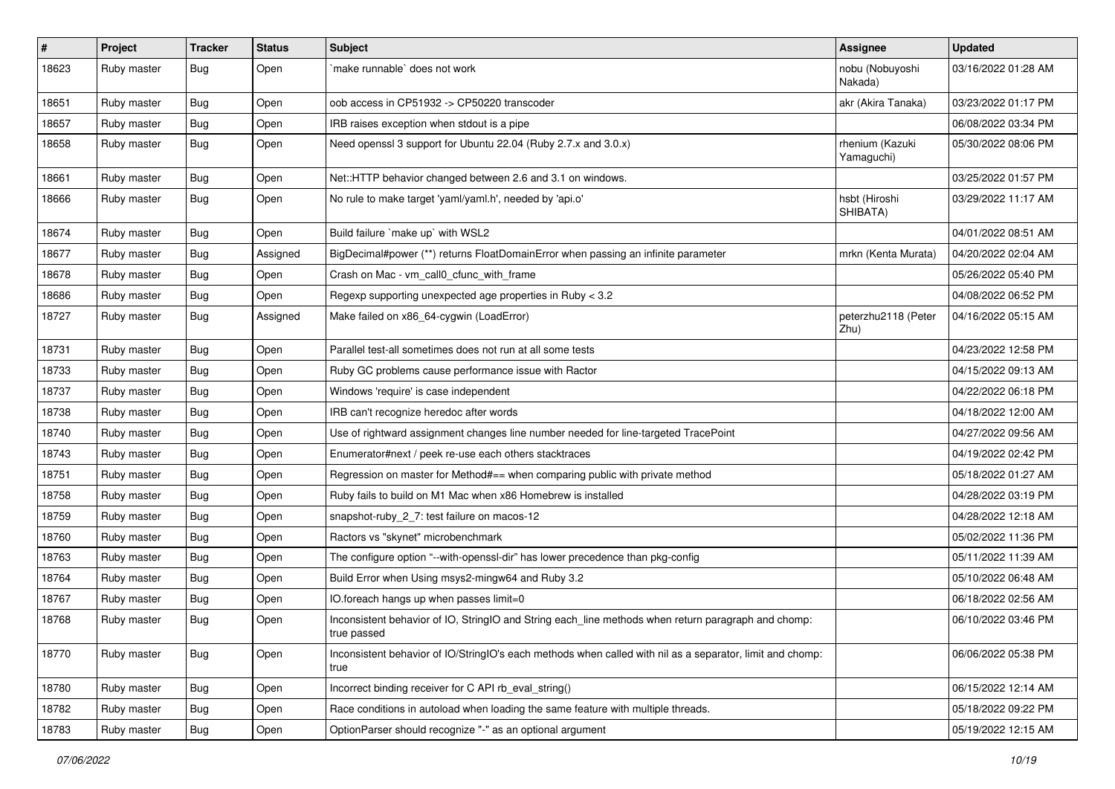| $\vert$ # | Project     | <b>Tracker</b> | <b>Status</b> | <b>Subject</b>                                                                                                     | Assignee                      | <b>Updated</b>      |
|-----------|-------------|----------------|---------------|--------------------------------------------------------------------------------------------------------------------|-------------------------------|---------------------|
| 18623     | Ruby master | Bug            | Open          | make runnable' does not work                                                                                       | nobu (Nobuyoshi<br>Nakada)    | 03/16/2022 01:28 AM |
| 18651     | Ruby master | <b>Bug</b>     | Open          | oob access in CP51932 -> CP50220 transcoder                                                                        | akr (Akira Tanaka)            | 03/23/2022 01:17 PM |
| 18657     | Ruby master | <b>Bug</b>     | Open          | IRB raises exception when stdout is a pipe                                                                         |                               | 06/08/2022 03:34 PM |
| 18658     | Ruby master | <b>Bug</b>     | Open          | Need openssl 3 support for Ubuntu 22.04 (Ruby 2.7.x and 3.0.x)                                                     | rhenium (Kazuki<br>Yamaguchi) | 05/30/2022 08:06 PM |
| 18661     | Ruby master | <b>Bug</b>     | Open          | Net::HTTP behavior changed between 2.6 and 3.1 on windows.                                                         |                               | 03/25/2022 01:57 PM |
| 18666     | Ruby master | <b>Bug</b>     | Open          | No rule to make target 'yaml/yaml.h', needed by 'api.o'                                                            | hsbt (Hiroshi<br>SHIBATA)     | 03/29/2022 11:17 AM |
| 18674     | Ruby master | <b>Bug</b>     | Open          | Build failure `make up` with WSL2                                                                                  |                               | 04/01/2022 08:51 AM |
| 18677     | Ruby master | <b>Bug</b>     | Assigned      | BigDecimal#power (**) returns FloatDomainError when passing an infinite parameter                                  | mrkn (Kenta Murata)           | 04/20/2022 02:04 AM |
| 18678     | Ruby master | <b>Bug</b>     | Open          | Crash on Mac - vm_call0_cfunc_with_frame                                                                           |                               | 05/26/2022 05:40 PM |
| 18686     | Ruby master | <b>Bug</b>     | Open          | Regexp supporting unexpected age properties in Ruby < 3.2                                                          |                               | 04/08/2022 06:52 PM |
| 18727     | Ruby master | Bug            | Assigned      | Make failed on x86_64-cygwin (LoadError)                                                                           | peterzhu2118 (Peter<br>Zhu)   | 04/16/2022 05:15 AM |
| 18731     | Ruby master | <b>Bug</b>     | Open          | Parallel test-all sometimes does not run at all some tests                                                         |                               | 04/23/2022 12:58 PM |
| 18733     | Ruby master | <b>Bug</b>     | Open          | Ruby GC problems cause performance issue with Ractor                                                               |                               | 04/15/2022 09:13 AM |
| 18737     | Ruby master | <b>Bug</b>     | Open          | Windows 'require' is case independent                                                                              |                               | 04/22/2022 06:18 PM |
| 18738     | Ruby master | <b>Bug</b>     | Open          | IRB can't recognize heredoc after words                                                                            |                               | 04/18/2022 12:00 AM |
| 18740     | Ruby master | <b>Bug</b>     | Open          | Use of rightward assignment changes line number needed for line-targeted TracePoint                                |                               | 04/27/2022 09:56 AM |
| 18743     | Ruby master | <b>Bug</b>     | Open          | Enumerator#next / peek re-use each others stacktraces                                                              |                               | 04/19/2022 02:42 PM |
| 18751     | Ruby master | <b>Bug</b>     | Open          | Regression on master for Method#== when comparing public with private method                                       |                               | 05/18/2022 01:27 AM |
| 18758     | Ruby master | <b>Bug</b>     | Open          | Ruby fails to build on M1 Mac when x86 Homebrew is installed                                                       |                               | 04/28/2022 03:19 PM |
| 18759     | Ruby master | <b>Bug</b>     | Open          | snapshot-ruby 2 7: test failure on macos-12                                                                        |                               | 04/28/2022 12:18 AM |
| 18760     | Ruby master | <b>Bug</b>     | Open          | Ractors vs "skynet" microbenchmark                                                                                 |                               | 05/02/2022 11:36 PM |
| 18763     | Ruby master | <b>Bug</b>     | Open          | The configure option "--with-openssl-dir" has lower precedence than pkg-config                                     |                               | 05/11/2022 11:39 AM |
| 18764     | Ruby master | <b>Bug</b>     | Open          | Build Error when Using msys2-mingw64 and Ruby 3.2                                                                  |                               | 05/10/2022 06:48 AM |
| 18767     | Ruby master | <b>Bug</b>     | Open          | IO.foreach hangs up when passes limit=0                                                                            |                               | 06/18/2022 02:56 AM |
| 18768     | Ruby master | <b>Bug</b>     | Open          | Inconsistent behavior of IO, StringIO and String each_line methods when return paragraph and chomp:<br>true passed |                               | 06/10/2022 03:46 PM |
| 18770     | Ruby master | <b>Bug</b>     | Open          | Inconsistent behavior of IO/StringIO's each methods when called with nil as a separator, limit and chomp:<br>true  |                               | 06/06/2022 05:38 PM |
| 18780     | Ruby master | <b>Bug</b>     | Open          | Incorrect binding receiver for C API rb_eval_string()                                                              |                               | 06/15/2022 12:14 AM |
| 18782     | Ruby master | <b>Bug</b>     | Open          | Race conditions in autoload when loading the same feature with multiple threads.                                   |                               | 05/18/2022 09:22 PM |
| 18783     | Ruby master | <b>Bug</b>     | Open          | OptionParser should recognize "-" as an optional argument                                                          |                               | 05/19/2022 12:15 AM |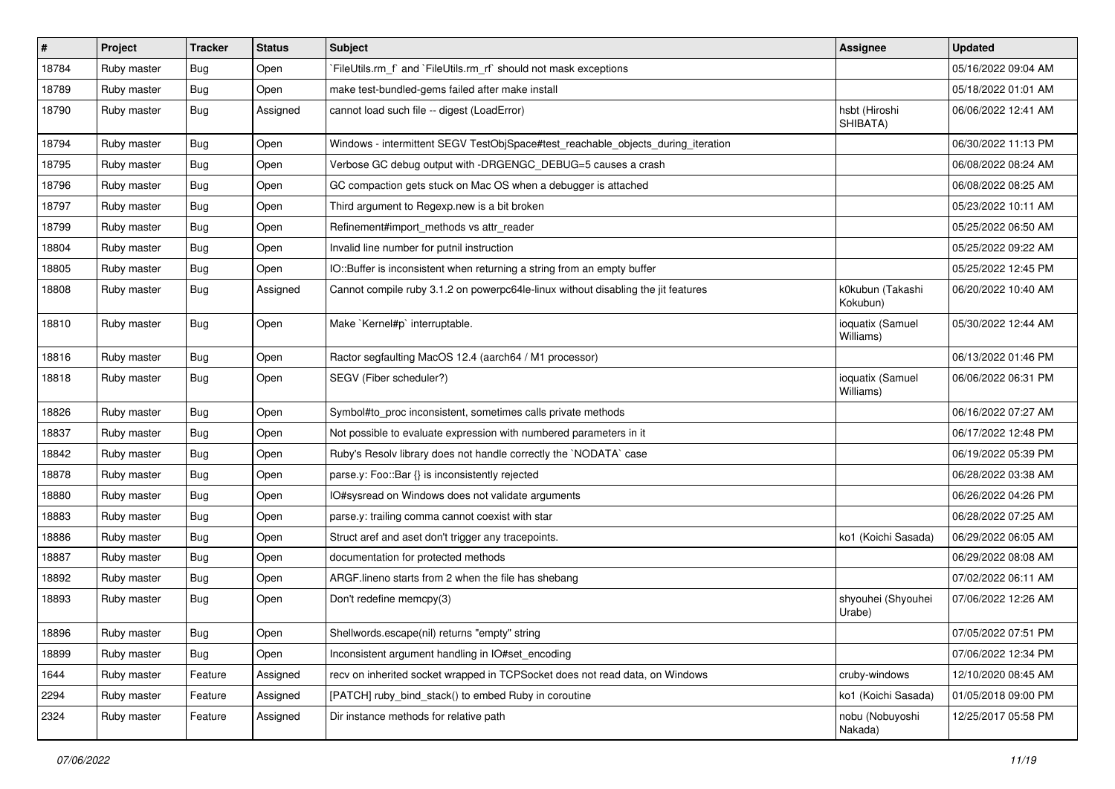| $\vert$ # | Project     | <b>Tracker</b> | <b>Status</b> | Subject                                                                           | <b>Assignee</b>               | <b>Updated</b>      |
|-----------|-------------|----------------|---------------|-----------------------------------------------------------------------------------|-------------------------------|---------------------|
| 18784     | Ruby master | Bug            | Open          | FileUtils.rm f and FileUtils.rm rf should not mask exceptions                     |                               | 05/16/2022 09:04 AM |
| 18789     | Ruby master | <b>Bug</b>     | Open          | make test-bundled-gems failed after make install                                  |                               | 05/18/2022 01:01 AM |
| 18790     | Ruby master | <b>Bug</b>     | Assigned      | cannot load such file -- digest (LoadError)                                       | hsbt (Hiroshi<br>SHIBATA)     | 06/06/2022 12:41 AM |
| 18794     | Ruby master | <b>Bug</b>     | Open          | Windows - intermittent SEGV TestObjSpace#test_reachable_objects_during_iteration  |                               | 06/30/2022 11:13 PM |
| 18795     | Ruby master | Bug            | Open          | Verbose GC debug output with -DRGENGC_DEBUG=5 causes a crash                      |                               | 06/08/2022 08:24 AM |
| 18796     | Ruby master | Bug            | Open          | GC compaction gets stuck on Mac OS when a debugger is attached                    |                               | 06/08/2022 08:25 AM |
| 18797     | Ruby master | <b>Bug</b>     | Open          | Third argument to Regexp.new is a bit broken                                      |                               | 05/23/2022 10:11 AM |
| 18799     | Ruby master | Bug            | Open          | Refinement#import_methods vs attr_reader                                          |                               | 05/25/2022 06:50 AM |
| 18804     | Ruby master | <b>Bug</b>     | Open          | Invalid line number for putnil instruction                                        |                               | 05/25/2022 09:22 AM |
| 18805     | Ruby master | Bug            | Open          | IO::Buffer is inconsistent when returning a string from an empty buffer           |                               | 05/25/2022 12:45 PM |
| 18808     | Ruby master | <b>Bug</b>     | Assigned      | Cannot compile ruby 3.1.2 on powerpc64le-linux without disabling the jit features | k0kubun (Takashi<br>Kokubun)  | 06/20/2022 10:40 AM |
| 18810     | Ruby master | Bug            | Open          | Make `Kernel#p` interruptable.                                                    | ioquatix (Samuel<br>Williams) | 05/30/2022 12:44 AM |
| 18816     | Ruby master | <b>Bug</b>     | Open          | Ractor segfaulting MacOS 12.4 (aarch64 / M1 processor)                            |                               | 06/13/2022 01:46 PM |
| 18818     | Ruby master | Bug            | Open          | SEGV (Fiber scheduler?)                                                           | ioquatix (Samuel<br>Williams) | 06/06/2022 06:31 PM |
| 18826     | Ruby master | <b>Bug</b>     | Open          | Symbol#to_proc inconsistent, sometimes calls private methods                      |                               | 06/16/2022 07:27 AM |
| 18837     | Ruby master | Bug            | Open          | Not possible to evaluate expression with numbered parameters in it                |                               | 06/17/2022 12:48 PM |
| 18842     | Ruby master | <b>Bug</b>     | Open          | Ruby's Resolv library does not handle correctly the `NODATA` case                 |                               | 06/19/2022 05:39 PM |
| 18878     | Ruby master | Bug            | Open          | parse.y: Foo::Bar {} is inconsistently rejected                                   |                               | 06/28/2022 03:38 AM |
| 18880     | Ruby master | <b>Bug</b>     | Open          | IO#sysread on Windows does not validate arguments                                 |                               | 06/26/2022 04:26 PM |
| 18883     | Ruby master | <b>Bug</b>     | Open          | parse.y: trailing comma cannot coexist with star                                  |                               | 06/28/2022 07:25 AM |
| 18886     | Ruby master | Bug            | Open          | Struct aref and aset don't trigger any tracepoints.                               | ko1 (Koichi Sasada)           | 06/29/2022 06:05 AM |
| 18887     | Ruby master | <b>Bug</b>     | Open          | documentation for protected methods                                               |                               | 06/29/2022 08:08 AM |
| 18892     | Ruby master | Bug            | Open          | ARGF.lineno starts from 2 when the file has shebang                               |                               | 07/02/2022 06:11 AM |
| 18893     | Ruby master | Bug            | Open          | Don't redefine memcpy(3)                                                          | shyouhei (Shyouhei<br>Urabe)  | 07/06/2022 12:26 AM |
| 18896     | Ruby master | Bug            | Open          | Shellwords.escape(nil) returns "empty" string                                     |                               | 07/05/2022 07:51 PM |
| 18899     | Ruby master | <b>Bug</b>     | Open          | Inconsistent argument handling in IO#set_encoding                                 |                               | 07/06/2022 12:34 PM |
| 1644      | Ruby master | Feature        | Assigned      | recv on inherited socket wrapped in TCPSocket does not read data, on Windows      | cruby-windows                 | 12/10/2020 08:45 AM |
| 2294      | Ruby master | Feature        | Assigned      | [PATCH] ruby_bind_stack() to embed Ruby in coroutine                              | ko1 (Koichi Sasada)           | 01/05/2018 09:00 PM |
| 2324      | Ruby master | Feature        | Assigned      | Dir instance methods for relative path                                            | nobu (Nobuyoshi<br>Nakada)    | 12/25/2017 05:58 PM |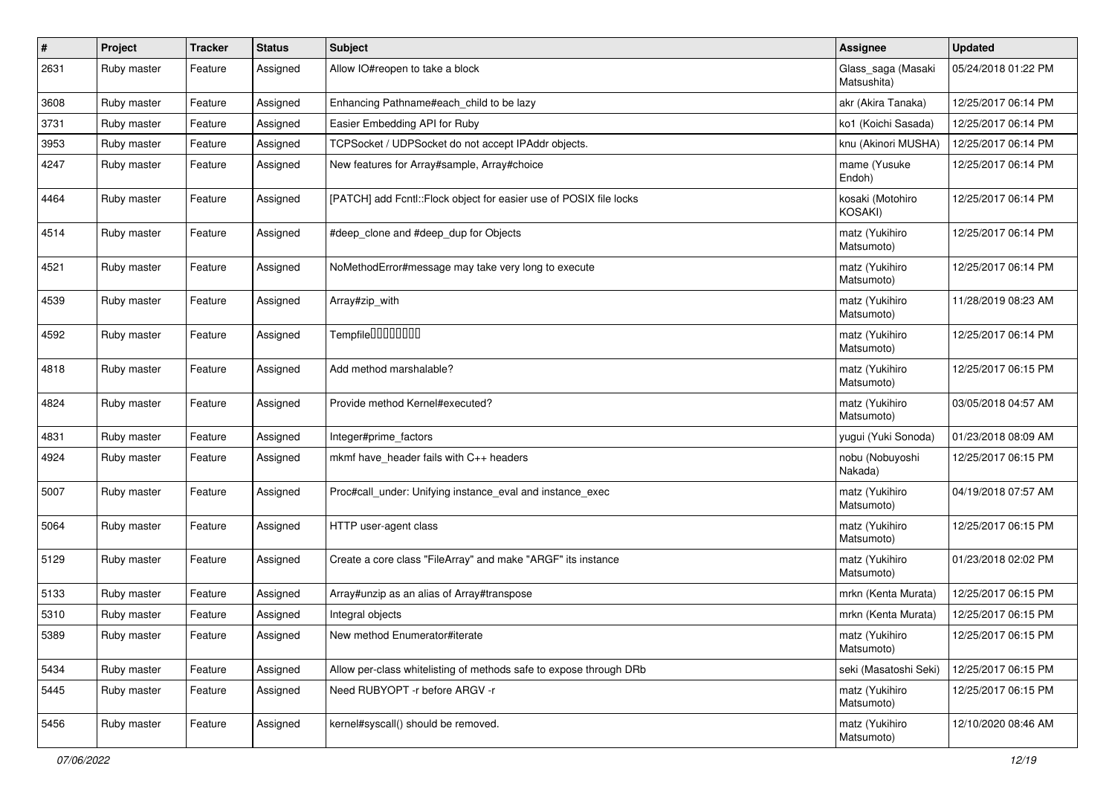| $\pmb{\#}$ | Project     | <b>Tracker</b> | <b>Status</b> | Subject                                                            | <b>Assignee</b>                   | <b>Updated</b>      |
|------------|-------------|----------------|---------------|--------------------------------------------------------------------|-----------------------------------|---------------------|
| 2631       | Ruby master | Feature        | Assigned      | Allow IO#reopen to take a block                                    | Glass_saga (Masaki<br>Matsushita) | 05/24/2018 01:22 PM |
| 3608       | Ruby master | Feature        | Assigned      | Enhancing Pathname#each child to be lazy                           | akr (Akira Tanaka)                | 12/25/2017 06:14 PM |
| 3731       | Ruby master | Feature        | Assigned      | Easier Embedding API for Ruby                                      | ko1 (Koichi Sasada)               | 12/25/2017 06:14 PM |
| 3953       | Ruby master | Feature        | Assigned      | TCPSocket / UDPSocket do not accept IPAddr objects.                | knu (Akinori MUSHA)               | 12/25/2017 06:14 PM |
| 4247       | Ruby master | Feature        | Assigned      | New features for Array#sample, Array#choice                        | mame (Yusuke<br>Endoh)            | 12/25/2017 06:14 PM |
| 4464       | Ruby master | Feature        | Assigned      | [PATCH] add Fcntl::Flock object for easier use of POSIX file locks | kosaki (Motohiro<br>KOSAKI)       | 12/25/2017 06:14 PM |
| 4514       | Ruby master | Feature        | Assigned      | #deep_clone and #deep_dup for Objects                              | matz (Yukihiro<br>Matsumoto)      | 12/25/2017 06:14 PM |
| 4521       | Ruby master | Feature        | Assigned      | NoMethodError#message may take very long to execute                | matz (Yukihiro<br>Matsumoto)      | 12/25/2017 06:14 PM |
| 4539       | Ruby master | Feature        | Assigned      | Array#zip_with                                                     | matz (Yukihiro<br>Matsumoto)      | 11/28/2019 08:23 AM |
| 4592       | Ruby master | Feature        | Assigned      | Tempfile0000000                                                    | matz (Yukihiro<br>Matsumoto)      | 12/25/2017 06:14 PM |
| 4818       | Ruby master | Feature        | Assigned      | Add method marshalable?                                            | matz (Yukihiro<br>Matsumoto)      | 12/25/2017 06:15 PM |
| 4824       | Ruby master | Feature        | Assigned      | Provide method Kernel#executed?                                    | matz (Yukihiro<br>Matsumoto)      | 03/05/2018 04:57 AM |
| 4831       | Ruby master | Feature        | Assigned      | Integer#prime factors                                              | yugui (Yuki Sonoda)               | 01/23/2018 08:09 AM |
| 4924       | Ruby master | Feature        | Assigned      | mkmf have_header fails with C++ headers                            | nobu (Nobuyoshi<br>Nakada)        | 12/25/2017 06:15 PM |
| 5007       | Ruby master | Feature        | Assigned      | Proc#call_under: Unifying instance_eval and instance_exec          | matz (Yukihiro<br>Matsumoto)      | 04/19/2018 07:57 AM |
| 5064       | Ruby master | Feature        | Assigned      | HTTP user-agent class                                              | matz (Yukihiro<br>Matsumoto)      | 12/25/2017 06:15 PM |
| 5129       | Ruby master | Feature        | Assigned      | Create a core class "FileArray" and make "ARGF" its instance       | matz (Yukihiro<br>Matsumoto)      | 01/23/2018 02:02 PM |
| 5133       | Ruby master | Feature        | Assigned      | Array#unzip as an alias of Array#transpose                         | mrkn (Kenta Murata)               | 12/25/2017 06:15 PM |
| 5310       | Ruby master | Feature        | Assigned      | Integral objects                                                   | mrkn (Kenta Murata)               | 12/25/2017 06:15 PM |
| 5389       | Ruby master | Feature        | Assigned      | New method Enumerator#iterate                                      | matz (Yukihiro<br>Matsumoto)      | 12/25/2017 06:15 PM |
| 5434       | Ruby master | Feature        | Assigned      | Allow per-class whitelisting of methods safe to expose through DRb | seki (Masatoshi Seki)             | 12/25/2017 06:15 PM |
| 5445       | Ruby master | Feature        | Assigned      | Need RUBYOPT - r before ARGV - r                                   | matz (Yukihiro<br>Matsumoto)      | 12/25/2017 06:15 PM |
| 5456       | Ruby master | Feature        | Assigned      | kernel#syscall() should be removed.                                | matz (Yukihiro<br>Matsumoto)      | 12/10/2020 08:46 AM |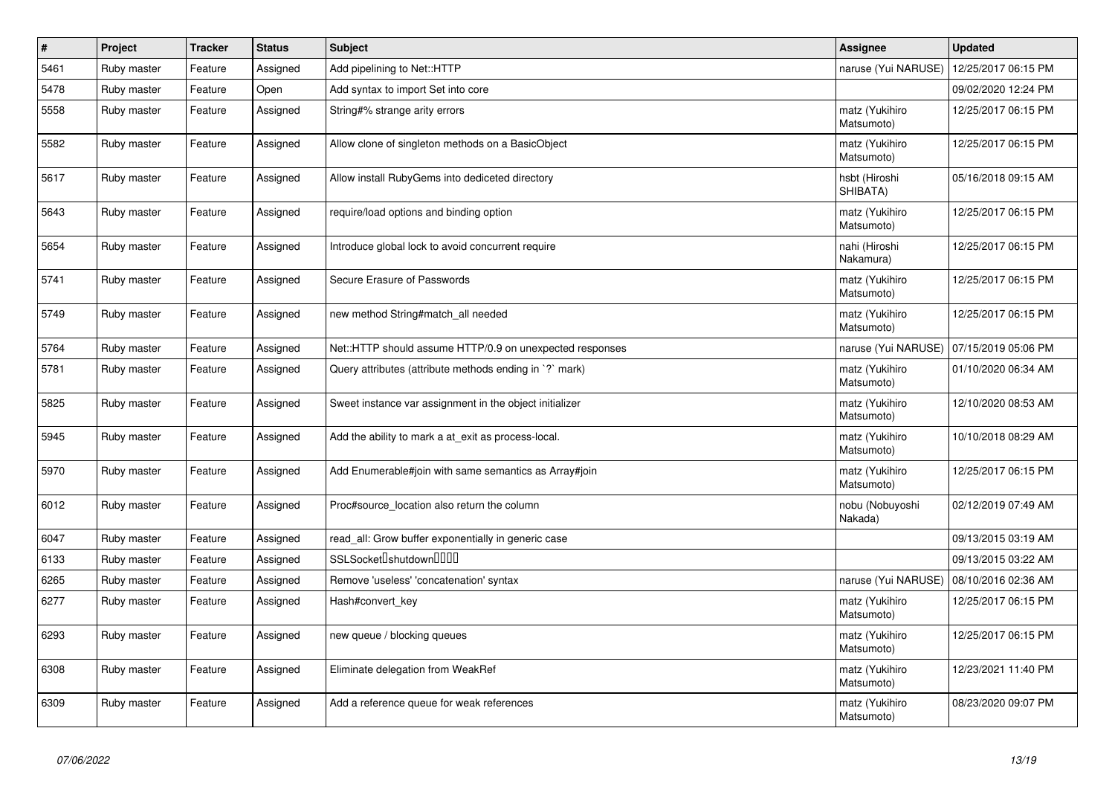| $\vert$ # | Project     | <b>Tracker</b> | <b>Status</b> | <b>Subject</b>                                           | Assignee                     | <b>Updated</b>      |
|-----------|-------------|----------------|---------------|----------------------------------------------------------|------------------------------|---------------------|
| 5461      | Ruby master | Feature        | Assigned      | Add pipelining to Net::HTTP                              | naruse (Yui NARUSE)          | 12/25/2017 06:15 PM |
| 5478      | Ruby master | Feature        | Open          | Add syntax to import Set into core                       |                              | 09/02/2020 12:24 PM |
| 5558      | Ruby master | Feature        | Assigned      | String#% strange arity errors                            | matz (Yukihiro<br>Matsumoto) | 12/25/2017 06:15 PM |
| 5582      | Ruby master | Feature        | Assigned      | Allow clone of singleton methods on a BasicObject        | matz (Yukihiro<br>Matsumoto) | 12/25/2017 06:15 PM |
| 5617      | Ruby master | Feature        | Assigned      | Allow install RubyGems into dediceted directory          | hsbt (Hiroshi<br>SHIBATA)    | 05/16/2018 09:15 AM |
| 5643      | Ruby master | Feature        | Assigned      | require/load options and binding option                  | matz (Yukihiro<br>Matsumoto) | 12/25/2017 06:15 PM |
| 5654      | Ruby master | Feature        | Assigned      | Introduce global lock to avoid concurrent require        | nahi (Hiroshi<br>Nakamura)   | 12/25/2017 06:15 PM |
| 5741      | Ruby master | Feature        | Assigned      | Secure Erasure of Passwords                              | matz (Yukihiro<br>Matsumoto) | 12/25/2017 06:15 PM |
| 5749      | Ruby master | Feature        | Assigned      | new method String#match_all needed                       | matz (Yukihiro<br>Matsumoto) | 12/25/2017 06:15 PM |
| 5764      | Ruby master | Feature        | Assigned      | Net::HTTP should assume HTTP/0.9 on unexpected responses | naruse (Yui NARUSE)          | 07/15/2019 05:06 PM |
| 5781      | Ruby master | Feature        | Assigned      | Query attributes (attribute methods ending in `?` mark)  | matz (Yukihiro<br>Matsumoto) | 01/10/2020 06:34 AM |
| 5825      | Ruby master | Feature        | Assigned      | Sweet instance var assignment in the object initializer  | matz (Yukihiro<br>Matsumoto) | 12/10/2020 08:53 AM |
| 5945      | Ruby master | Feature        | Assigned      | Add the ability to mark a at_exit as process-local.      | matz (Yukihiro<br>Matsumoto) | 10/10/2018 08:29 AM |
| 5970      | Ruby master | Feature        | Assigned      | Add Enumerable#join with same semantics as Array#join    | matz (Yukihiro<br>Matsumoto) | 12/25/2017 06:15 PM |
| 6012      | Ruby master | Feature        | Assigned      | Proc#source location also return the column              | nobu (Nobuyoshi<br>Nakada)   | 02/12/2019 07:49 AM |
| 6047      | Ruby master | Feature        | Assigned      | read_all: Grow buffer exponentially in generic case      |                              | 09/13/2015 03:19 AM |
| 6133      | Ruby master | Feature        | Assigned      | SSLSocket <sup>[</sup> shutdown <sup>[11]</sup>          |                              | 09/13/2015 03:22 AM |
| 6265      | Ruby master | Feature        | Assigned      | Remove 'useless' 'concatenation' syntax                  | naruse (Yui NARUSE)          | 08/10/2016 02:36 AM |
| 6277      | Ruby master | Feature        | Assigned      | Hash#convert key                                         | matz (Yukihiro<br>Matsumoto) | 12/25/2017 06:15 PM |
| 6293      | Ruby master | Feature        | Assigned      | new queue / blocking queues                              | matz (Yukihiro<br>Matsumoto) | 12/25/2017 06:15 PM |
| 6308      | Ruby master | Feature        | Assigned      | Eliminate delegation from WeakRef                        | matz (Yukihiro<br>Matsumoto) | 12/23/2021 11:40 PM |
| 6309      | Ruby master | Feature        | Assigned      | Add a reference queue for weak references                | matz (Yukihiro<br>Matsumoto) | 08/23/2020 09:07 PM |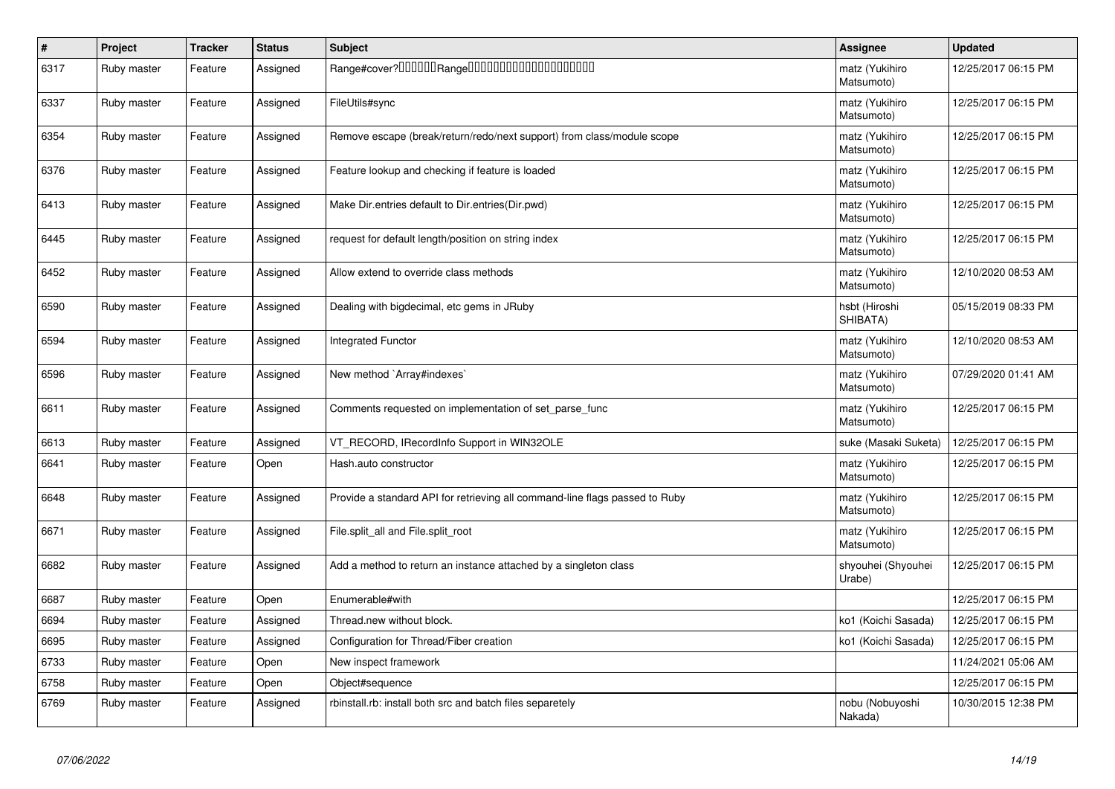| $\vert$ # | Project     | <b>Tracker</b> | <b>Status</b> | <b>Subject</b>                                                              | Assignee                     | <b>Updated</b>      |
|-----------|-------------|----------------|---------------|-----------------------------------------------------------------------------|------------------------------|---------------------|
| 6317      | Ruby master | Feature        | Assigned      |                                                                             | matz (Yukihiro<br>Matsumoto) | 12/25/2017 06:15 PM |
| 6337      | Ruby master | Feature        | Assigned      | FileUtils#sync                                                              | matz (Yukihiro<br>Matsumoto) | 12/25/2017 06:15 PM |
| 6354      | Ruby master | Feature        | Assigned      | Remove escape (break/return/redo/next support) from class/module scope      | matz (Yukihiro<br>Matsumoto) | 12/25/2017 06:15 PM |
| 6376      | Ruby master | Feature        | Assigned      | Feature lookup and checking if feature is loaded                            | matz (Yukihiro<br>Matsumoto) | 12/25/2017 06:15 PM |
| 6413      | Ruby master | Feature        | Assigned      | Make Dir.entries default to Dir.entries(Dir.pwd)                            | matz (Yukihiro<br>Matsumoto) | 12/25/2017 06:15 PM |
| 6445      | Ruby master | Feature        | Assigned      | request for default length/position on string index                         | matz (Yukihiro<br>Matsumoto) | 12/25/2017 06:15 PM |
| 6452      | Ruby master | Feature        | Assigned      | Allow extend to override class methods                                      | matz (Yukihiro<br>Matsumoto) | 12/10/2020 08:53 AM |
| 6590      | Ruby master | Feature        | Assigned      | Dealing with bigdecimal, etc gems in JRuby                                  | hsbt (Hiroshi<br>SHIBATA)    | 05/15/2019 08:33 PM |
| 6594      | Ruby master | Feature        | Assigned      | <b>Integrated Functor</b>                                                   | matz (Yukihiro<br>Matsumoto) | 12/10/2020 08:53 AM |
| 6596      | Ruby master | Feature        | Assigned      | New method `Array#indexes`                                                  | matz (Yukihiro<br>Matsumoto) | 07/29/2020 01:41 AM |
| 6611      | Ruby master | Feature        | Assigned      | Comments requested on implementation of set parse func                      | matz (Yukihiro<br>Matsumoto) | 12/25/2017 06:15 PM |
| 6613      | Ruby master | Feature        | Assigned      | VT_RECORD, IRecordInfo Support in WIN32OLE                                  | suke (Masaki Suketa)         | 12/25/2017 06:15 PM |
| 6641      | Ruby master | Feature        | Open          | Hash.auto constructor                                                       | matz (Yukihiro<br>Matsumoto) | 12/25/2017 06:15 PM |
| 6648      | Ruby master | Feature        | Assigned      | Provide a standard API for retrieving all command-line flags passed to Ruby | matz (Yukihiro<br>Matsumoto) | 12/25/2017 06:15 PM |
| 6671      | Ruby master | Feature        | Assigned      | File.split all and File.split root                                          | matz (Yukihiro<br>Matsumoto) | 12/25/2017 06:15 PM |
| 6682      | Ruby master | Feature        | Assigned      | Add a method to return an instance attached by a singleton class            | shyouhei (Shyouhei<br>Urabe) | 12/25/2017 06:15 PM |
| 6687      | Ruby master | Feature        | Open          | Enumerable#with                                                             |                              | 12/25/2017 06:15 PM |
| 6694      | Ruby master | Feature        | Assigned      | Thread.new without block.                                                   | ko1 (Koichi Sasada)          | 12/25/2017 06:15 PM |
| 6695      | Ruby master | Feature        | Assigned      | Configuration for Thread/Fiber creation                                     | ko1 (Koichi Sasada)          | 12/25/2017 06:15 PM |
| 6733      | Ruby master | Feature        | Open          | New inspect framework                                                       |                              | 11/24/2021 05:06 AM |
| 6758      | Ruby master | Feature        | Open          | Object#sequence                                                             |                              | 12/25/2017 06:15 PM |
| 6769      | Ruby master | Feature        | Assigned      | rbinstall.rb: install both src and batch files separetely                   | nobu (Nobuyoshi<br>Nakada)   | 10/30/2015 12:38 PM |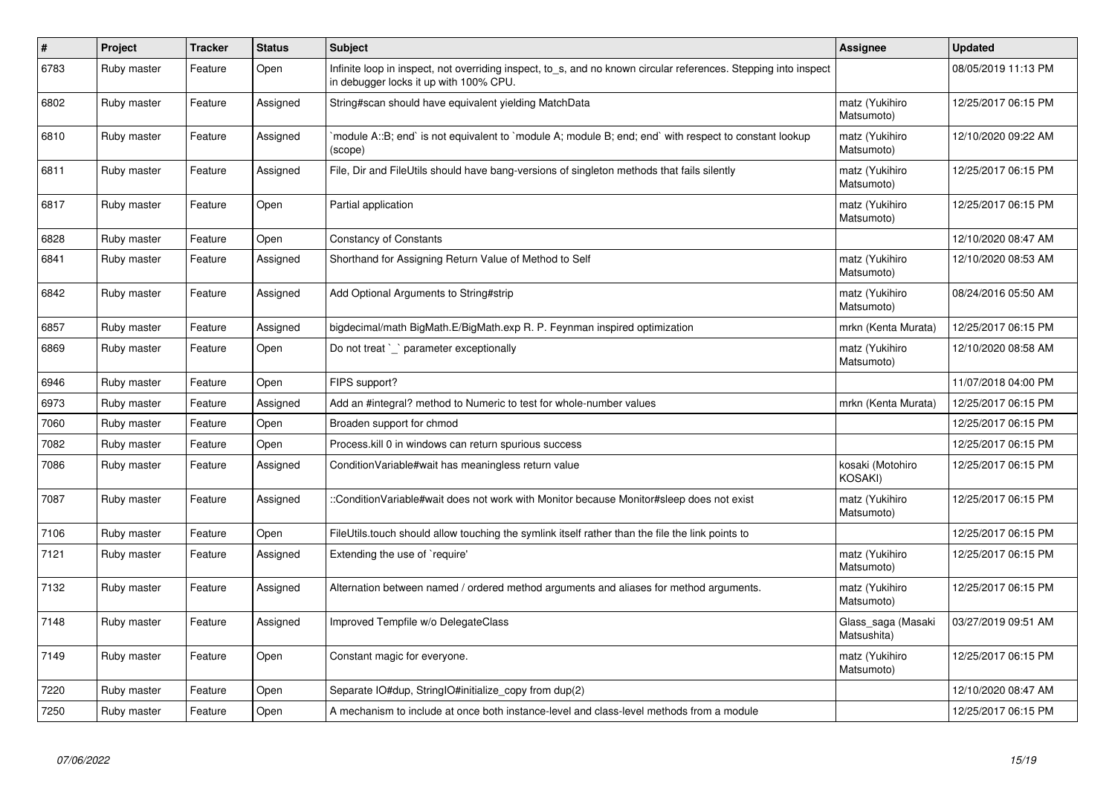| $\vert$ # | Project     | <b>Tracker</b> | <b>Status</b> | <b>Subject</b>                                                                                                                                            | Assignee                           | <b>Updated</b>      |
|-----------|-------------|----------------|---------------|-----------------------------------------------------------------------------------------------------------------------------------------------------------|------------------------------------|---------------------|
| 6783      | Ruby master | Feature        | Open          | Infinite loop in inspect, not overriding inspect, to_s, and no known circular references. Stepping into inspect<br>in debugger locks it up with 100% CPU. |                                    | 08/05/2019 11:13 PM |
| 6802      | Ruby master | Feature        | Assigned      | String#scan should have equivalent yielding MatchData                                                                                                     | matz (Yukihiro<br>Matsumoto)       | 12/25/2017 06:15 PM |
| 6810      | Ruby master | Feature        | Assigned      | module A::B; end` is not equivalent to `module A; module B; end; end` with respect to constant lookup`<br>(scope)                                         | matz (Yukihiro<br>Matsumoto)       | 12/10/2020 09:22 AM |
| 6811      | Ruby master | Feature        | Assigned      | File, Dir and FileUtils should have bang-versions of singleton methods that fails silently                                                                | matz (Yukihiro<br>Matsumoto)       | 12/25/2017 06:15 PM |
| 6817      | Ruby master | Feature        | Open          | Partial application                                                                                                                                       | matz (Yukihiro<br>Matsumoto)       | 12/25/2017 06:15 PM |
| 6828      | Ruby master | Feature        | Open          | <b>Constancy of Constants</b>                                                                                                                             |                                    | 12/10/2020 08:47 AM |
| 6841      | Ruby master | Feature        | Assigned      | Shorthand for Assigning Return Value of Method to Self                                                                                                    | matz (Yukihiro<br>Matsumoto)       | 12/10/2020 08:53 AM |
| 6842      | Ruby master | Feature        | Assigned      | Add Optional Arguments to String#strip                                                                                                                    | matz (Yukihiro<br>Matsumoto)       | 08/24/2016 05:50 AM |
| 6857      | Ruby master | Feature        | Assigned      | bigdecimal/math BigMath.E/BigMath.exp R. P. Feynman inspired optimization                                                                                 | mrkn (Kenta Murata)                | 12/25/2017 06:15 PM |
| 6869      | Ruby master | Feature        | Open          | Do not treat `_` parameter exceptionally                                                                                                                  | matz (Yukihiro<br>Matsumoto)       | 12/10/2020 08:58 AM |
| 6946      | Ruby master | Feature        | Open          | FIPS support?                                                                                                                                             |                                    | 11/07/2018 04:00 PM |
| 6973      | Ruby master | Feature        | Assigned      | Add an #integral? method to Numeric to test for whole-number values                                                                                       | mrkn (Kenta Murata)                | 12/25/2017 06:15 PM |
| 7060      | Ruby master | Feature        | Open          | Broaden support for chmod                                                                                                                                 |                                    | 12/25/2017 06:15 PM |
| 7082      | Ruby master | Feature        | Open          | Process. kill 0 in windows can return spurious success                                                                                                    |                                    | 12/25/2017 06:15 PM |
| 7086      | Ruby master | Feature        | Assigned      | Condition Variable#wait has meaningless return value                                                                                                      | kosaki (Motohiro<br><b>KOSAKI)</b> | 12/25/2017 06:15 PM |
| 7087      | Ruby master | Feature        | Assigned      | ::ConditionVariable#wait does not work with Monitor because Monitor#sleep does not exist                                                                  | matz (Yukihiro<br>Matsumoto)       | 12/25/2017 06:15 PM |
| 7106      | Ruby master | Feature        | Open          | FileUtils.touch should allow touching the symlink itself rather than the file the link points to                                                          |                                    | 12/25/2017 06:15 PM |
| 7121      | Ruby master | Feature        | Assigned      | Extending the use of `require'                                                                                                                            | matz (Yukihiro<br>Matsumoto)       | 12/25/2017 06:15 PM |
| 7132      | Ruby master | Feature        | Assigned      | Alternation between named / ordered method arguments and aliases for method arguments.                                                                    | matz (Yukihiro<br>Matsumoto)       | 12/25/2017 06:15 PM |
| 7148      | Ruby master | Feature        | Assigned      | Improved Tempfile w/o DelegateClass                                                                                                                       | Glass saga (Masaki<br>Matsushita)  | 03/27/2019 09:51 AM |
| 7149      | Ruby master | Feature        | Open          | Constant magic for everyone.                                                                                                                              | matz (Yukihiro<br>Matsumoto)       | 12/25/2017 06:15 PM |
| 7220      | Ruby master | Feature        | Open          | Separate IO#dup, StringIO#initialize_copy from dup(2)                                                                                                     |                                    | 12/10/2020 08:47 AM |
| 7250      | Ruby master | Feature        | Open          | A mechanism to include at once both instance-level and class-level methods from a module                                                                  |                                    | 12/25/2017 06:15 PM |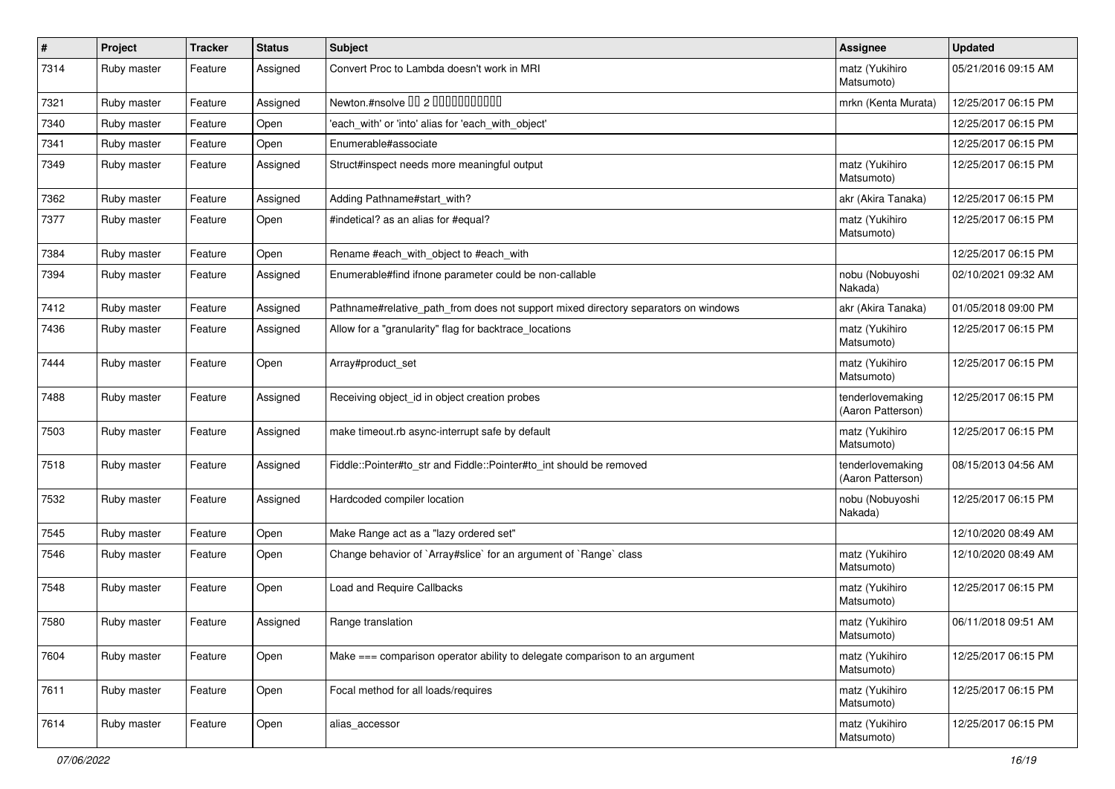| $\sharp$ | Project     | <b>Tracker</b> | <b>Status</b> | Subject                                                                            | <b>Assignee</b>                       | <b>Updated</b>      |
|----------|-------------|----------------|---------------|------------------------------------------------------------------------------------|---------------------------------------|---------------------|
| 7314     | Ruby master | Feature        | Assigned      | Convert Proc to Lambda doesn't work in MRI                                         | matz (Yukihiro<br>Matsumoto)          | 05/21/2016 09:15 AM |
| 7321     | Ruby master | Feature        | Assigned      | Newton.#nsolve 00 2 0000000000                                                     | mrkn (Kenta Murata)                   | 12/25/2017 06:15 PM |
| 7340     | Ruby master | Feature        | Open          | 'each_with' or 'into' alias for 'each_with_object'                                 |                                       | 12/25/2017 06:15 PM |
| 7341     | Ruby master | Feature        | Open          | Enumerable#associate                                                               |                                       | 12/25/2017 06:15 PM |
| 7349     | Ruby master | Feature        | Assigned      | Struct#inspect needs more meaningful output                                        | matz (Yukihiro<br>Matsumoto)          | 12/25/2017 06:15 PM |
| 7362     | Ruby master | Feature        | Assigned      | Adding Pathname#start with?                                                        | akr (Akira Tanaka)                    | 12/25/2017 06:15 PM |
| 7377     | Ruby master | Feature        | Open          | #indetical? as an alias for #equal?                                                | matz (Yukihiro<br>Matsumoto)          | 12/25/2017 06:15 PM |
| 7384     | Ruby master | Feature        | Open          | Rename #each_with_object to #each_with                                             |                                       | 12/25/2017 06:15 PM |
| 7394     | Ruby master | Feature        | Assigned      | Enumerable#find ifnone parameter could be non-callable                             | nobu (Nobuyoshi<br>Nakada)            | 02/10/2021 09:32 AM |
| 7412     | Ruby master | Feature        | Assigned      | Pathname#relative_path_from does not support mixed directory separators on windows | akr (Akira Tanaka)                    | 01/05/2018 09:00 PM |
| 7436     | Ruby master | Feature        | Assigned      | Allow for a "granularity" flag for backtrace_locations                             | matz (Yukihiro<br>Matsumoto)          | 12/25/2017 06:15 PM |
| 7444     | Ruby master | Feature        | Open          | Array#product_set                                                                  | matz (Yukihiro<br>Matsumoto)          | 12/25/2017 06:15 PM |
| 7488     | Ruby master | Feature        | Assigned      | Receiving object_id in object creation probes                                      | tenderlovemaking<br>(Aaron Patterson) | 12/25/2017 06:15 PM |
| 7503     | Ruby master | Feature        | Assigned      | make timeout.rb async-interrupt safe by default                                    | matz (Yukihiro<br>Matsumoto)          | 12/25/2017 06:15 PM |
| 7518     | Ruby master | Feature        | Assigned      | Fiddle::Pointer#to_str and Fiddle::Pointer#to_int should be removed                | tenderlovemaking<br>(Aaron Patterson) | 08/15/2013 04:56 AM |
| 7532     | Ruby master | Feature        | Assigned      | Hardcoded compiler location                                                        | nobu (Nobuyoshi<br>Nakada)            | 12/25/2017 06:15 PM |
| 7545     | Ruby master | Feature        | Open          | Make Range act as a "lazy ordered set"                                             |                                       | 12/10/2020 08:49 AM |
| 7546     | Ruby master | Feature        | Open          | Change behavior of `Array#slice` for an argument of `Range` class                  | matz (Yukihiro<br>Matsumoto)          | 12/10/2020 08:49 AM |
| 7548     | Ruby master | Feature        | Open          | <b>Load and Require Callbacks</b>                                                  | matz (Yukihiro<br>Matsumoto)          | 12/25/2017 06:15 PM |
| 7580     | Ruby master | Feature        | Assigned      | Range translation                                                                  | matz (Yukihiro<br>Matsumoto)          | 06/11/2018 09:51 AM |
| 7604     | Ruby master | Feature        | Open          | Make $==$ comparison operator ability to delegate comparison to an argument        | matz (Yukihiro<br>Matsumoto)          | 12/25/2017 06:15 PM |
| 7611     | Ruby master | Feature        | Open          | Focal method for all loads/requires                                                | matz (Yukihiro<br>Matsumoto)          | 12/25/2017 06:15 PM |
| 7614     | Ruby master | Feature        | Open          | alias accessor                                                                     | matz (Yukihiro<br>Matsumoto)          | 12/25/2017 06:15 PM |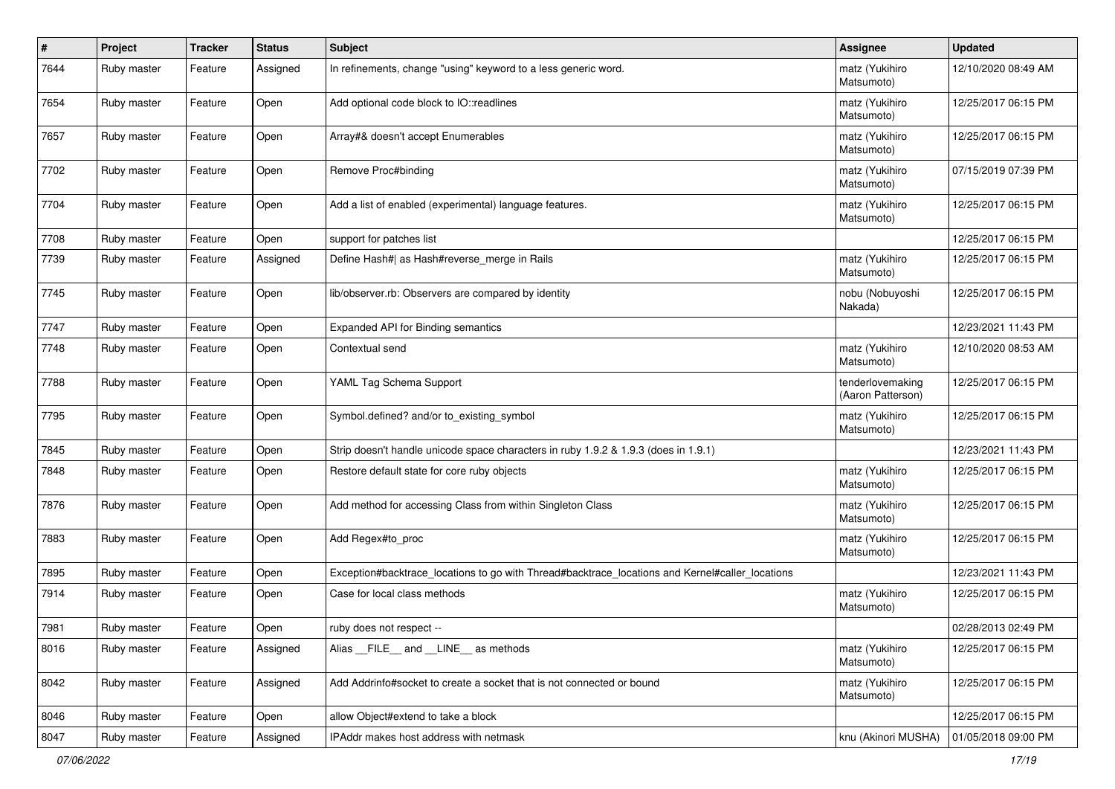| $\pmb{\#}$ | Project     | <b>Tracker</b> | <b>Status</b> | Subject                                                                                         | <b>Assignee</b>                       | <b>Updated</b>      |
|------------|-------------|----------------|---------------|-------------------------------------------------------------------------------------------------|---------------------------------------|---------------------|
| 7644       | Ruby master | Feature        | Assigned      | In refinements, change "using" keyword to a less generic word.                                  | matz (Yukihiro<br>Matsumoto)          | 12/10/2020 08:49 AM |
| 7654       | Ruby master | Feature        | Open          | Add optional code block to IO::readlines                                                        | matz (Yukihiro<br>Matsumoto)          | 12/25/2017 06:15 PM |
| 7657       | Ruby master | Feature        | Open          | Array#& doesn't accept Enumerables                                                              | matz (Yukihiro<br>Matsumoto)          | 12/25/2017 06:15 PM |
| 7702       | Ruby master | Feature        | Open          | Remove Proc#binding                                                                             | matz (Yukihiro<br>Matsumoto)          | 07/15/2019 07:39 PM |
| 7704       | Ruby master | Feature        | Open          | Add a list of enabled (experimental) language features.                                         | matz (Yukihiro<br>Matsumoto)          | 12/25/2017 06:15 PM |
| 7708       | Ruby master | Feature        | Open          | support for patches list                                                                        |                                       | 12/25/2017 06:15 PM |
| 7739       | Ruby master | Feature        | Assigned      | Define Hash#  as Hash#reverse_merge in Rails                                                    | matz (Yukihiro<br>Matsumoto)          | 12/25/2017 06:15 PM |
| 7745       | Ruby master | Feature        | Open          | lib/observer.rb: Observers are compared by identity                                             | nobu (Nobuyoshi<br>Nakada)            | 12/25/2017 06:15 PM |
| 7747       | Ruby master | Feature        | Open          | Expanded API for Binding semantics                                                              |                                       | 12/23/2021 11:43 PM |
| 7748       | Ruby master | Feature        | Open          | Contextual send                                                                                 | matz (Yukihiro<br>Matsumoto)          | 12/10/2020 08:53 AM |
| 7788       | Ruby master | Feature        | Open          | YAML Tag Schema Support                                                                         | tenderlovemaking<br>(Aaron Patterson) | 12/25/2017 06:15 PM |
| 7795       | Ruby master | Feature        | Open          | Symbol.defined? and/or to_existing_symbol                                                       | matz (Yukihiro<br>Matsumoto)          | 12/25/2017 06:15 PM |
| 7845       | Ruby master | Feature        | Open          | Strip doesn't handle unicode space characters in ruby 1.9.2 & 1.9.3 (does in 1.9.1)             |                                       | 12/23/2021 11:43 PM |
| 7848       | Ruby master | Feature        | Open          | Restore default state for core ruby objects                                                     | matz (Yukihiro<br>Matsumoto)          | 12/25/2017 06:15 PM |
| 7876       | Ruby master | Feature        | Open          | Add method for accessing Class from within Singleton Class                                      | matz (Yukihiro<br>Matsumoto)          | 12/25/2017 06:15 PM |
| 7883       | Ruby master | Feature        | Open          | Add Regex#to_proc                                                                               | matz (Yukihiro<br>Matsumoto)          | 12/25/2017 06:15 PM |
| 7895       | Ruby master | Feature        | Open          | Exception#backtrace_locations to go with Thread#backtrace_locations and Kernel#caller_locations |                                       | 12/23/2021 11:43 PM |
| 7914       | Ruby master | Feature        | Open          | Case for local class methods                                                                    | matz (Yukihiro<br>Matsumoto)          | 12/25/2017 06:15 PM |
| 7981       | Ruby master | Feature        | Open          | ruby does not respect --                                                                        |                                       | 02/28/2013 02:49 PM |
| 8016       | Ruby master | Feature        | Assigned      | Alias FILE and LINE as methods                                                                  | matz (Yukihiro<br>Matsumoto)          | 12/25/2017 06:15 PM |
| 8042       | Ruby master | Feature        | Assigned      | Add Addrinfo#socket to create a socket that is not connected or bound                           | matz (Yukihiro<br>Matsumoto)          | 12/25/2017 06:15 PM |
| 8046       | Ruby master | Feature        | Open          | allow Object#extend to take a block                                                             |                                       | 12/25/2017 06:15 PM |
| 8047       | Ruby master | Feature        | Assigned      | IPAddr makes host address with netmask                                                          | knu (Akinori MUSHA)                   | 01/05/2018 09:00 PM |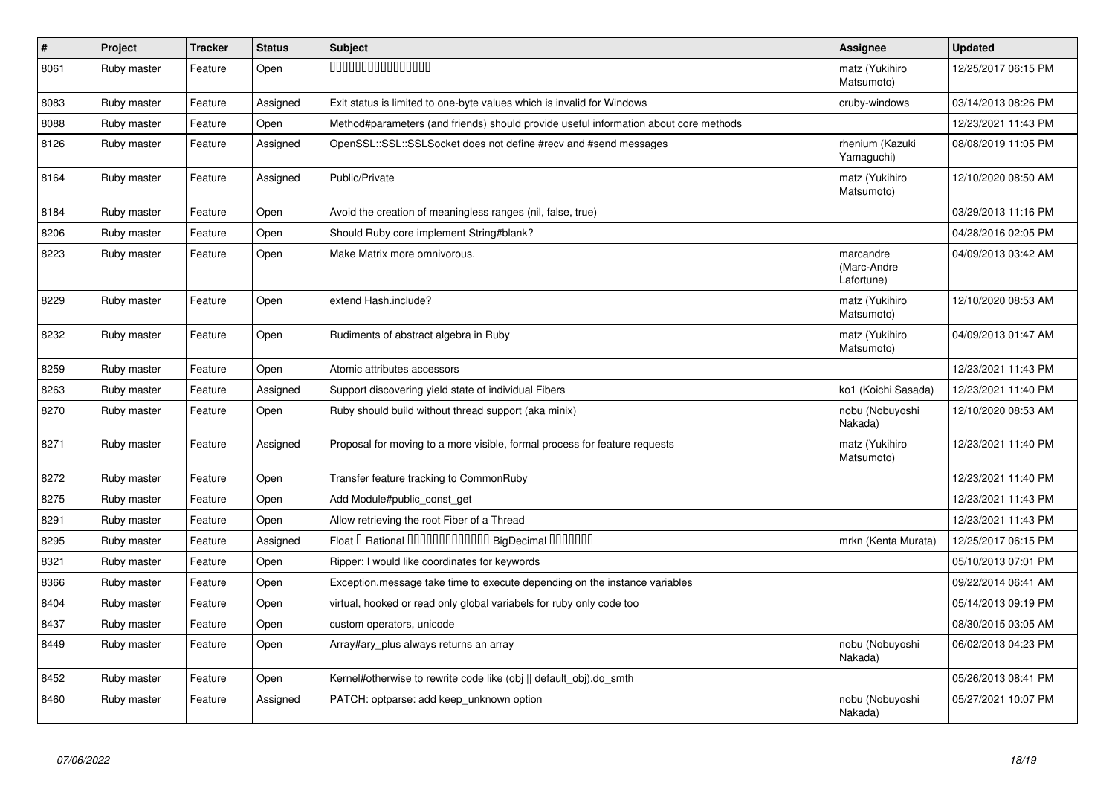| $\vert$ # | Project     | <b>Tracker</b> | <b>Status</b> | <b>Subject</b>                                                                       | <b>Assignee</b>                        | <b>Updated</b>      |
|-----------|-------------|----------------|---------------|--------------------------------------------------------------------------------------|----------------------------------------|---------------------|
| 8061      | Ruby master | Feature        | Open          | 000000000000000                                                                      | matz (Yukihiro<br>Matsumoto)           | 12/25/2017 06:15 PM |
| 8083      | Ruby master | Feature        | Assigned      | Exit status is limited to one-byte values which is invalid for Windows               | cruby-windows                          | 03/14/2013 08:26 PM |
| 8088      | Ruby master | Feature        | Open          | Method#parameters (and friends) should provide useful information about core methods |                                        | 12/23/2021 11:43 PM |
| 8126      | Ruby master | Feature        | Assigned      | OpenSSL::SSL::SSLSocket does not define #recv and #send messages                     | rhenium (Kazuki<br>Yamaguchi)          | 08/08/2019 11:05 PM |
| 8164      | Ruby master | Feature        | Assigned      | Public/Private                                                                       | matz (Yukihiro<br>Matsumoto)           | 12/10/2020 08:50 AM |
| 8184      | Ruby master | Feature        | Open          | Avoid the creation of meaningless ranges (nil, false, true)                          |                                        | 03/29/2013 11:16 PM |
| 8206      | Ruby master | Feature        | Open          | Should Ruby core implement String#blank?                                             |                                        | 04/28/2016 02:05 PM |
| 8223      | Ruby master | Feature        | Open          | Make Matrix more omnivorous.                                                         | marcandre<br>(Marc-Andre<br>Lafortune) | 04/09/2013 03:42 AM |
| 8229      | Ruby master | Feature        | Open          | extend Hash.include?                                                                 | matz (Yukihiro<br>Matsumoto)           | 12/10/2020 08:53 AM |
| 8232      | Ruby master | Feature        | Open          | Rudiments of abstract algebra in Ruby                                                | matz (Yukihiro<br>Matsumoto)           | 04/09/2013 01:47 AM |
| 8259      | Ruby master | Feature        | Open          | Atomic attributes accessors                                                          |                                        | 12/23/2021 11:43 PM |
| 8263      | Ruby master | Feature        | Assigned      | Support discovering yield state of individual Fibers                                 | ko1 (Koichi Sasada)                    | 12/23/2021 11:40 PM |
| 8270      | Ruby master | Feature        | Open          | Ruby should build without thread support (aka minix)                                 | nobu (Nobuyoshi<br>Nakada)             | 12/10/2020 08:53 AM |
| 8271      | Ruby master | Feature        | Assigned      | Proposal for moving to a more visible, formal process for feature requests           | matz (Yukihiro<br>Matsumoto)           | 12/23/2021 11:40 PM |
| 8272      | Ruby master | Feature        | Open          | Transfer feature tracking to CommonRuby                                              |                                        | 12/23/2021 11:40 PM |
| 8275      | Ruby master | Feature        | Open          | Add Module#public_const_get                                                          |                                        | 12/23/2021 11:43 PM |
| 8291      | Ruby master | Feature        | Open          | Allow retrieving the root Fiber of a Thread                                          |                                        | 12/23/2021 11:43 PM |
| 8295      | Ruby master | Feature        | Assigned      | Float I Rational 0000000000000 BigDecimal 0000000                                    | mrkn (Kenta Murata)                    | 12/25/2017 06:15 PM |
| 8321      | Ruby master | Feature        | Open          | Ripper: I would like coordinates for keywords                                        |                                        | 05/10/2013 07:01 PM |
| 8366      | Ruby master | Feature        | Open          | Exception.message take time to execute depending on the instance variables           |                                        | 09/22/2014 06:41 AM |
| 8404      | Ruby master | Feature        | Open          | virtual, hooked or read only global variabels for ruby only code too                 |                                        | 05/14/2013 09:19 PM |
| 8437      | Ruby master | Feature        | Open          | custom operators, unicode                                                            |                                        | 08/30/2015 03:05 AM |
| 8449      | Ruby master | Feature        | Open          | Array#ary plus always returns an array                                               | nobu (Nobuyoshi<br>Nakada)             | 06/02/2013 04:23 PM |
| 8452      | Ruby master | Feature        | Open          | Kernel#otherwise to rewrite code like (obj    default obj).do smth                   |                                        | 05/26/2013 08:41 PM |
| 8460      | Ruby master | Feature        | Assigned      | PATCH: optparse: add keep_unknown option                                             | nobu (Nobuyoshi<br>Nakada)             | 05/27/2021 10:07 PM |